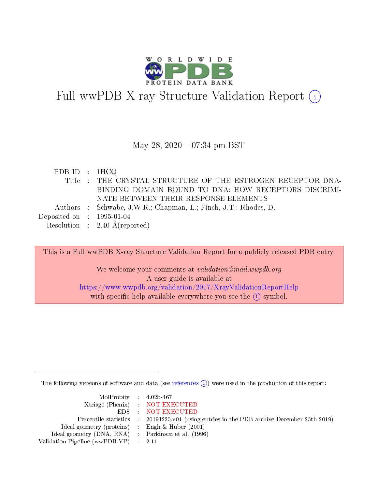

# Full wwPDB X-ray Structure Validation Report (i)

### May 28,  $2020 - 07:34$  pm BST

| PDB ID : $1HCO$             |                                                                 |
|-----------------------------|-----------------------------------------------------------------|
|                             | Title : THE CRYSTAL STRUCTURE OF THE ESTROGEN RECEPTOR DNA-     |
|                             | BINDING DOMAIN BOUND TO DNA: HOW RECEPTORS DISCRIMI-            |
|                             | NATE BETWEEN THEIR RESPONSE ELEMENTS                            |
|                             | Authors : Schwabe, J.W.R.; Chapman, L.; Finch, J.T.; Rhodes, D. |
| Deposited on : $1995-01-04$ |                                                                 |
|                             | Resolution : $2.40 \text{ Å}$ (reported)                        |

This is a Full wwPDB X-ray Structure Validation Report for a publicly released PDB entry. We welcome your comments at validation@mail.wwpdb.org A user guide is available at <https://www.wwpdb.org/validation/2017/XrayValidationReportHelp> with specific help available everywhere you see the  $(i)$  symbol.

The following versions of software and data (see [references](https://www.wwpdb.org/validation/2017/XrayValidationReportHelp#references)  $\overline{(1)}$ ) were used in the production of this report:

| $MolProbability$ 4.02b-467                          |                                                                    |
|-----------------------------------------------------|--------------------------------------------------------------------|
|                                                     | Xtriage (Phenix) NOT EXECUTED                                      |
|                                                     | EDS NOT EXECUTED                                                   |
| Percentile statistics :                             | 20191225.v01 (using entries in the PDB archive December 25th 2019) |
| Ideal geometry (proteins) :                         | Engh & Huber $(2001)$                                              |
| Ideal geometry (DNA, RNA) : Parkinson et al. (1996) |                                                                    |
| Validation Pipeline (wwPDB-VP) : 2.11               |                                                                    |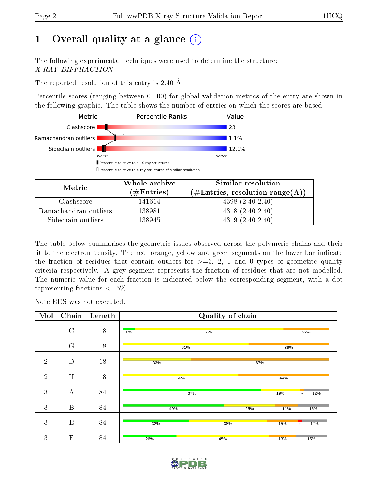# 1 [O](https://www.wwpdb.org/validation/2017/XrayValidationReportHelp#overall_quality)verall quality at a glance  $(i)$

The following experimental techniques were used to determine the structure: X-RAY DIFFRACTION

The reported resolution of this entry is 2.40 Å.

Percentile scores (ranging between 0-100) for global validation metrics of the entry are shown in the following graphic. The table shows the number of entries on which the scores are based.



| Metric                | Whole archive       | Similar resolution                                 |
|-----------------------|---------------------|----------------------------------------------------|
|                       | (# $\rm{Entries}$ ) | $(\text{\#Entries, resolution range}(\text{\AA}))$ |
| Clashscore            | 141614              | $4398(2.40-2.40)$                                  |
| Ramachandran outliers | 138981              | $4318(2.40-2.40)$                                  |
| Sidechain outliers    | 138945              | $4319(2.40-2.40)$                                  |

The table below summarises the geometric issues observed across the polymeric chains and their fit to the electron density. The red, orange, yellow and green segments on the lower bar indicate the fraction of residues that contain outliers for  $\geq=3$ , 2, 1 and 0 types of geometric quality criteria respectively. A grey segment represents the fraction of residues that are not modelled. The numeric value for each fraction is indicated below the corresponding segment, with a dot representing fractions  $\epsilon = 5\%$ 

Note EDS was not executed.

| Mol            | Chain            | Length |     | Quality of chain |     |                  |
|----------------|------------------|--------|-----|------------------|-----|------------------|
| 1<br>T         | $\mathcal{C}$    | 18     | 6%  | 72%              |     | 22%              |
| 1<br>T         | G                | 18     |     | 61%              | 39% |                  |
| $\overline{2}$ | D                | $18\,$ | 33% |                  | 67% |                  |
| $\overline{2}$ | H                | 18     | 56% |                  | 44% |                  |
| 3              | А                | 84     |     | 67%              | 19% | 12%<br>٠         |
| 3              | $\boldsymbol{B}$ | 84     | 49% | 25%              | 11% | 15%              |
| 3              | E                | 84     | 32% | 38%              | 15% | 12%<br>$\bullet$ |
| $\mathbf{3}$   | F                | 84     | 26% | 45%              | 13% | 15%              |

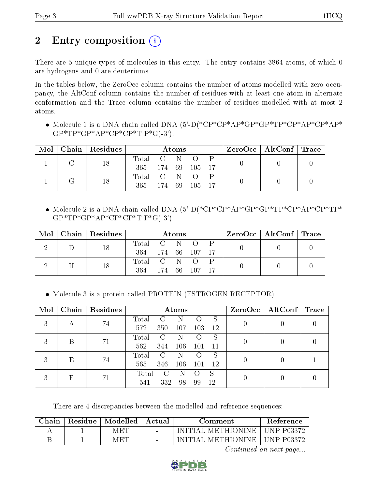# 2 Entry composition  $\left( \cdot \right)$

There are 5 unique types of molecules in this entry. The entry contains 3864 atoms, of which 0 are hydrogens and 0 are deuteriums.

In the tables below, the ZeroOcc column contains the number of atoms modelled with zero occupancy, the AltConf column contains the number of residues with at least one atom in alternate conformation and the Trace column contains the number of residues modelled with at most 2 atoms.

 Molecule 1 is a DNA chain called DNA (5'-D(\*CP\*CP\*AP\*GP\*GP\*TP\*CP\*AP\*CP\*AP\*  $GP*TP*GP*AP*CP*CP*TP*G$ )-3').

| Mol | Chain | Residues |           |       | Atoms |                  |  | ZeroOcc   AltConf   Trace |  |
|-----|-------|----------|-----------|-------|-------|------------------|--|---------------------------|--|
|     |       | 18       | Total C N |       |       | $\left( \right)$ |  |                           |  |
|     |       |          | 365.      |       |       | 174 69 105       |  |                           |  |
|     |       | 18       | Total C N |       |       | $\Omega$         |  |                           |  |
|     |       |          | 365       | 174 - | 69 -  | 105              |  |                           |  |

 Molecule 2 is a DNA chain called DNA (5'-D(\*CP\*CP\*AP\*GP\*GP\*TP\*CP\*AP\*CP\*TP\*  $GP*TP*GP*AP*CP*CP*TP*G$ )-3').

| Mol |   | Chain   Residues |             |            | Atoms |            |  | $\text{ZeroOcc}$   AltConf   Trace |  |
|-----|---|------------------|-------------|------------|-------|------------|--|------------------------------------|--|
|     |   | 18               | Total C N   |            |       | $\left($ ) |  |                                    |  |
|     |   |                  | 364         | 174 66 107 |       |            |  |                                    |  |
|     | Η | 18               | Total C N O |            |       |            |  |                                    |  |
|     |   |                  | 364         |            |       | 174 66 107 |  |                                    |  |

• Molecule 3 is a protein called PROTEIN (ESTROGEN RECEPTOR).

| Mol | Chain | Residues |       |               | Atoms |     |               | $ZeroOcc \mid AltConf \mid Trace$ |  |
|-----|-------|----------|-------|---------------|-------|-----|---------------|-----------------------------------|--|
| 3   |       | 74       | Total | C             |       |     |               |                                   |  |
|     | А     |          | 572   | 350           | 107   | 103 | 12            |                                   |  |
| 3   | B     |          | Total | $\mathcal{C}$ |       |     | S             |                                   |  |
|     |       | 71       | 562   | 344           | 106   | 101 | 11            |                                   |  |
| 3   | E     | 74       | Total | C             |       |     |               |                                   |  |
|     |       |          | 565   | 346           | 106   | 101 | <sup>12</sup> |                                   |  |
| 3   | F     |          | Total | $\mathbf{C}$  |       |     | S             |                                   |  |
|     |       | 71       | 541   | 332           | 98    | 99  | 12            |                                   |  |

There are 4 discrepancies between the modelled and reference sequences:

| Chain | Residue   Modelled   Actual |        | Comment                         | Reference |
|-------|-----------------------------|--------|---------------------------------|-----------|
|       | MET                         | $\sim$ | INITIAL METHIONINE   UNP P03372 |           |
|       | M ET                        |        | INITIAL METHIONINE   UNP P03372 |           |

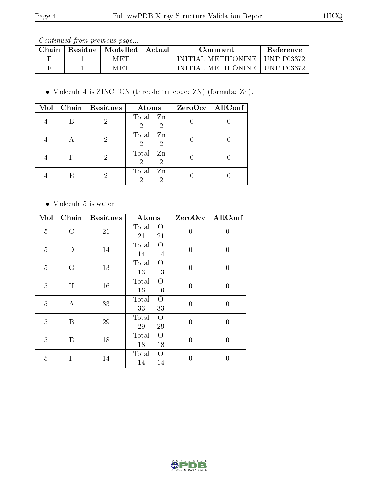Continued from previous page...

| $\gamma$ hain | Residue | Modelled | Actual                   | Comment           | <b>Reference</b> |
|---------------|---------|----------|--------------------------|-------------------|------------------|
|               |         | MET      | $\overline{\phantom{0}}$ | METHIONINE .      | UNP P03372       |
|               |         | MET      | $\sim$                   | <b>METHIONINE</b> | $+$ UNP P03372   |

Molecule 4 is ZINC ION (three-letter code: ZN) (formula: Zn).

|  | Mol   Chain   Residues | Atoms                                           | $ZeroOcc$   AltConf |
|--|------------------------|-------------------------------------------------|---------------------|
|  |                        | Total Zn<br>$\overline{2}$<br>$\overline{2}$    |                     |
|  |                        | Total Zn<br>$\overline{2}$<br>$\mathcal{D}$     |                     |
|  |                        | Total<br>Zn<br>$\overline{2}$<br>$\overline{2}$ |                     |
|  |                        | Total<br>Zn<br>$\overline{2}$                   |                     |

• Molecule 5 is water.

| $\overline{\text{M}}$ ol | $\overline{\text{Chain}}$ | Residues | Atoms                               | ZeroOcc        | AltConf          |
|--------------------------|---------------------------|----------|-------------------------------------|----------------|------------------|
| 5                        | $\mathcal{C}$             | 21       | Total<br>$\overline{O}$<br>21<br>21 | $\overline{0}$ | $\boldsymbol{0}$ |
| 5                        | D                         | 14       | Total<br>$\overline{O}$<br>14<br>14 | $\overline{0}$ | $\overline{0}$   |
| $\overline{5}$           | G                         | 13       | Total<br>$\overline{O}$<br>13<br>13 | $\overline{0}$ | $\overline{0}$   |
| $\overline{5}$           | H                         | 16       | Total<br>$\overline{O}$<br>16<br>16 | $\overline{0}$ | $\boldsymbol{0}$ |
| 5                        | $\bf{A}$                  | 33       | Total<br>O<br>33<br>33              | $\theta$       | $\overline{0}$   |
| $\overline{5}$           | B                         | 29       | Total<br>$\overline{O}$<br>29<br>29 | $\overline{0}$ | $\overline{0}$   |
| $\overline{5}$           | E                         | 18       | Total<br>O<br>18<br>18              | $\overline{0}$ | $\boldsymbol{0}$ |
| 5                        | $\mathbf{F}$              | 14       | Total<br>$\Omega$<br>14<br>14       | $\overline{0}$ | $\theta$         |

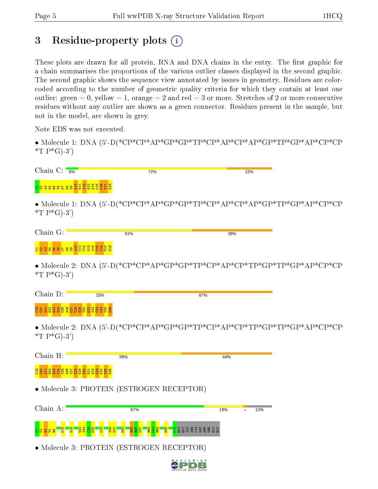# 3 Residue-property plots  $(i)$

These plots are drawn for all protein, RNA and DNA chains in the entry. The first graphic for a chain summarises the proportions of the various outlier classes displayed in the second graphic. The second graphic shows the sequence view annotated by issues in geometry. Residues are colorcoded according to the number of geometric quality criteria for which they contain at least one outlier: green  $= 0$ , yellow  $= 1$ , orange  $= 2$  and red  $= 3$  or more. Stretches of 2 or more consecutive residues without any outlier are shown as a green connector. Residues present in the sample, but not in the model, are shown in grey.

Note EDS was not executed.

• Molecule 1: DNA (5'-D(\*CP\*CP\*AP\*GP\*GP\*TP\*CP\*AP\*CP\*AP\*GP\*TP\*GP\*AP\*CP\*CP  $*T P * G$ -3')

| Chain C: $\frac{1}{6\%}$                                                    |     | 72%                                       | 22% |  |
|-----------------------------------------------------------------------------|-----|-------------------------------------------|-----|--|
| <mark>នន្ទមេខ្ទី និងដូងដូងដូន</mark> ដូ                                     |     |                                           |     |  |
| *T $P*G$ -3')                                                               |     |                                           |     |  |
| Chain G:                                                                    | 61% |                                           | 39% |  |
| <mark>៩</mark> ខន <mark>្ទីខន្ទខទទទទទ</mark> ្ឋិដីដូ <u>ង្គី ដូន្ងី ដូន</u> |     |                                           |     |  |
| *T $P*G$ -3')                                                               |     |                                           |     |  |
| Chain D:                                                                    | 33% |                                           | 67% |  |
|                                                                             |     |                                           |     |  |
|                                                                             |     |                                           |     |  |
| *T $P*G$ -3')                                                               |     |                                           |     |  |
| Chain H:                                                                    | 56% |                                           | 44% |  |
|                                                                             |     |                                           |     |  |
|                                                                             |     | • Molecule 3: PROTEIN (ESTROGEN RECEPTOR) |     |  |

g <mark>ន្ទ ន</mark> ន <mark>ទ</mark>  $\frac{2}{18}$  $\frac{22}{2}$  $\frac{23}{2}$  $\frac{24}{2}$  $\frac{25}{2}$  $\frac{82}{2}$ T46 N47  $\overline{52}$ R55  $\frac{8}{2}$ K57 R63  $\frac{64}{5}$ R65 E69 K74 GLY GLY ILE ARG LYS ASP ARG ARG GLY GLY

• Molecule 3: PROTEIN (ESTROGEN RECEPTOR)

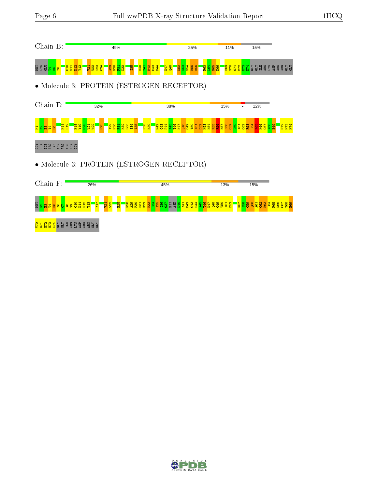| Chain B:                                                                                                                                                                                                                                                                         | 49%                                                                           | 25%                                                                                 | 11%             | 15%                                                 |
|----------------------------------------------------------------------------------------------------------------------------------------------------------------------------------------------------------------------------------------------------------------------------------|-------------------------------------------------------------------------------|-------------------------------------------------------------------------------------|-----------------|-----------------------------------------------------|
| ត្តមន្ត្រី<br>ត្រូ <mark>ង ង ន</mark>                                                                                                                                                                                                                                            | <mark>ទ្ធដ្ឋខ្ព</mark> ី <u>ដន្ត្រីន</u> ្ត<br><mark>្ន្ទិនីនី</mark><br>56   | <b>BREEF</b><br><b>BRE</b><br><b>BRE</b><br>BRE<br><mark>동학회 3 학</mark><br>상이<br>산업 |                 |                                                     |
|                                                                                                                                                                                                                                                                                  |                                                                               | • Molecule 3: PROTEIN (ESTROGEN RECEPTOR)                                           |                 |                                                     |
| Chain E:                                                                                                                                                                                                                                                                         | 32%                                                                           | 38%                                                                                 | 15%             | 12%                                                 |
| E<br>불안ಟ<br>뵵                                                                                                                                                                                                                                                                    | <mark>ទ្ធិត្ត</mark><br><mark>ខ្លួន</mark> និង និង<br><b>ARCO DE SE</b><br>20 | $\frac{8}{2}$                                                                       |                 | $\frac{1}{5}$                                       |
| $\ddot{a}$ $\ddot{a}$ $\ddot{a}$ $\ddot{a}$ $\ddot{a}$ $\ddot{a}$ $\ddot{a}$ $\ddot{a}$ $\ddot{a}$ $\ddot{a}$ $\ddot{a}$ $\ddot{a}$ $\ddot{a}$ $\ddot{a}$ $\ddot{a}$ $\ddot{a}$ $\ddot{a}$ $\ddot{a}$ $\ddot{a}$ $\ddot{a}$ $\ddot{a}$ $\ddot{a}$ $\ddot{a}$ $\ddot{a}$ $\ddot{$ |                                                                               |                                                                                     |                 |                                                     |
|                                                                                                                                                                                                                                                                                  |                                                                               | • Molecule 3: PROTEIN (ESTROGEN RECEPTOR)                                           |                 |                                                     |
| Chain F:                                                                                                                                                                                                                                                                         | 26%                                                                           | 45%                                                                                 | 13%             | 15%                                                 |
| មិ <mark>ន្ទង និន</mark><br>Ξ                                                                                                                                                                                                                                                    | g                                                                             | <b>E8285685698588888888</b><br>łа                                                   | $\frac{87}{52}$ | <b><u>និន្នីទីទី និង</u></b><br>885<br>1958<br>1958 |
|                                                                                                                                                                                                                                                                                  |                                                                               |                                                                                     |                 |                                                     |

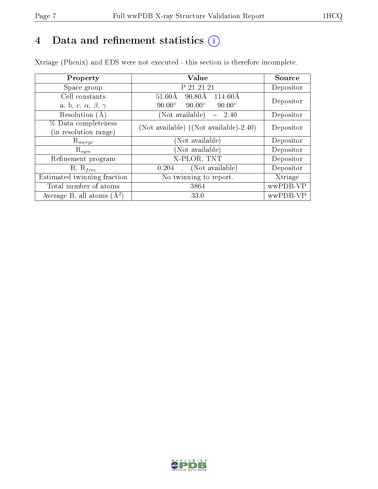# 4 Data and refinement statistics  $(i)$

Xtriage (Phenix) and EDS were not executed - this section is therefore incomplete.

| Property                               | Value                                                        | Source    |
|----------------------------------------|--------------------------------------------------------------|-----------|
| Space group                            | P 21 21 21                                                   | Depositor |
| Cell constants                         | $90.80\text{\AA}$<br>$114.60\text{\AA}$<br>$51.60\text{\AA}$ | Depositor |
| a, b, c, $\alpha$ , $\beta$ , $\gamma$ | $90.00^\circ$<br>$90.00^\circ$<br>$90.00^\circ$              |           |
| Resolution (A)                         | (Not available)<br>2.40<br>$\overline{\phantom{a}}$          | Depositor |
| % Data completeness                    | (Not available) ((Not available)-2.40)                       | Depositor |
| (in resolution range)                  |                                                              |           |
| $\mathrm{R}_{merge}$                   | (Not available)                                              | Depositor |
| $\mathrm{R}_{sym}$                     | (Not available)                                              | Depositor |
| Refinement program                     | X-PLOR, TNT                                                  | Depositor |
| $R, R_{free}$                          | (Not available)<br>0.204                                     | Depositor |
| Estimated twinning fraction            | No twinning to report.                                       | Xtriage   |
| Total number of atoms                  | 3864                                                         | wwPDB-VP  |
| Average B, all atoms $(A^2)$           | 33.0                                                         | wwPDB-VP  |

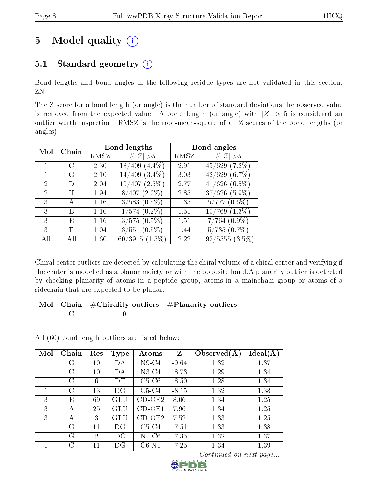# 5 Model quality  $(i)$

# 5.1 Standard geometry  $(i)$

Bond lengths and bond angles in the following residue types are not validated in this section: ZN

The Z score for a bond length (or angle) is the number of standard deviations the observed value is removed from the expected value. A bond length (or angle) with  $|Z| > 5$  is considered an outlier worth inspection. RMSZ is the root-mean-square of all Z scores of the bond lengths (or angles).

| Mol | Chain      |      | Bond lengths                       |      | Bond angles                |
|-----|------------|------|------------------------------------|------|----------------------------|
|     |            | RMSZ | # $ Z  > 5$                        | RMSZ | # $ Z  > 5$                |
|     | C          | 2.30 | $(4.4\%)$<br>$^{\prime}409$<br>18/ | 2.91 | $\overline{45/629}$ (7.2%) |
|     | G          | 2.10 | $14/409$ $(3.4\%)$                 | 3.03 | 42/629(6.7%)               |
| 2   | D)         | 2.04 | $10/407(2.5\%)$                    | 2.77 | $41/626$ $(6.5\%)$         |
| 2   | H          | 1.94 | $8/407$ $(2.0\%)$                  | 2.85 | $37/626$ $(5.9\%)$         |
| 3   | А          | 1.16 | $3/583$ $(0.5\%)$                  | 1.35 | $5/777(0.6\%)$             |
| 3   | В          | 1.10 | $1/574$ $(0.2\%)$                  | 1.51 | $10/769$ $(1.3\%)$         |
| 3   | Ε          | 1.16 | $3/575(0.5\%)$                     | 1.51 | $7/764~(0.9\%)$            |
| 3   | $_{\rm F}$ | 1.04 | $3/551$ $(0.5\%)$                  | 1.44 | $5/735(0.7\%)$             |
| All | ΑII        | 1.60 | $60/3915(1.5\%)$                   | 2.22 | $192/5555(3.5\%)$          |

Chiral center outliers are detected by calculating the chiral volume of a chiral center and verifying if the center is modelled as a planar moiety or with the opposite hand.A planarity outlier is detected by checking planarity of atoms in a peptide group, atoms in a mainchain group or atoms of a sidechain that are expected to be planar.

|  | $\lceil \text{Mol} \rceil$ Chain $\mid \#\text{Chirality outliers} \mid \#\text{Planarity outliers} \mid$ |
|--|-----------------------------------------------------------------------------------------------------------|
|  |                                                                                                           |

All (60) bond length outliers are listed below:

| Mol | Chain | Res    | <b>Type</b>          | Atoms    | Z       | Observed $(A)$ | Ideal(A) |
|-----|-------|--------|----------------------|----------|---------|----------------|----------|
|     | G     | $10\,$ | DА                   | $N9-C4$  | $-9.64$ | 1.32           | 1.37     |
|     | С     | $10\,$ | DА                   | $N3-C4$  | $-8.73$ | 1.29           | 1.34     |
|     | C     | 6      | DT                   | $C5-C6$  | $-8.50$ | 1.28           | 1.34     |
|     | C     | 13     | DG                   | $C5-C4$  | $-8.15$ | 1.32           | 1.38     |
| 3   | Е     | 69     | $\operatorname{GLU}$ | $CD-OE2$ | 8.06    | 1.34           | 1.25     |
| 3   | А     | 25     | GLU                  | $CD-OE1$ | 7.96    | 1.34           | 1.25     |
| 3   | А     | 3      | GLU.                 | $CD-OE2$ | 7.52    | 1.33           | 1.25     |
|     | G     | 11     | DG                   | $C5-C4$  | $-7.51$ | 1.33           | 1.38     |
|     | G     | 2      | DС                   | $N1-C6$  | $-7.35$ | 1.32           | 1.37     |
|     | C     | 11     | DG                   | $C6-N1$  | $-7.25$ | 1.34           | 1.39     |

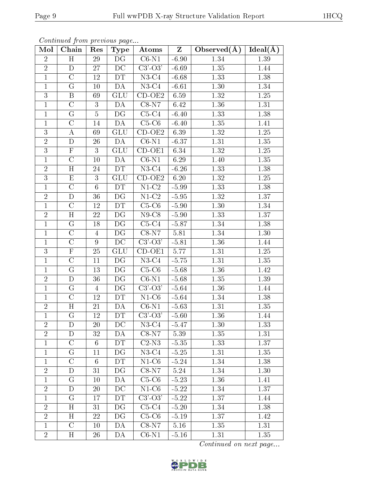| Continued from previous page |                         |                 |                          |                                         |                |                  |                       |
|------------------------------|-------------------------|-----------------|--------------------------|-----------------------------------------|----------------|------------------|-----------------------|
| Mol                          | Chain                   | Res             | <b>Type</b>              | Atoms                                   | $\mathbf{Z}$   | Observed $(\AA)$ | $Ideal(\overline{A})$ |
| $\overline{2}$               | H                       | 29              | DG                       | $\overline{\text{C6-N1}}$               | $-6.90$        | 1.34             | 1.39                  |
| $\overline{2}$               | $\mathbf D$             | 27              | DC                       | $C3'-O3'$                               | $-6.69$        | 1.35             | 1.44                  |
| $\overline{1}$               | $\overline{\rm C}$      | 12              | DT                       | $\overline{\text{N}}3\text{-}\text{C}4$ | $-6.68$        | 1.33             | 1.38                  |
| $\mathbf{1}$                 | $\overline{G}$          | 10              | DA                       | $N3-C4$                                 | $-6.61$        | 1.30             | 1.34                  |
| $\overline{3}$               | $\, {\bf B}$            | 69              | GLU                      | $CD-OE2$                                | 6.59           | 1.32             | 1.25                  |
| $\mathbf{1}$                 | $\overline{\rm C}$      | 3               | DA                       | $\overline{\text{C}8-\text{N}7}$        | 6.42           | 1.36             | 1.31                  |
| $\mathbf{1}$                 | G                       | $\overline{5}$  | DG                       | $C5-C4$                                 | $-6.40$        | 1.33             | 1.38                  |
| $\mathbf{1}$                 | $\overline{\rm C}$      | 14              | DA                       | $C5-C6$                                 | $-6.40$        | 1.35             | 1.41                  |
| $\overline{3}$               | $\bf{A}$                | 69              | <b>GLU</b>               | $CD-OE2$                                | 6.39           | 1.32             | $1.25\,$              |
| $\overline{2}$               | D                       | 26              | DA                       | $C6-N1$                                 | $-6.37$        | 1.31             | $1.35\,$              |
| $\overline{3}$               | $\overline{F}$          | 3               | GLU                      | $CD-OE1$                                | 6.34           | $1.32\,$         | $1.25\,$              |
| $\mathbf{1}$                 | $\mathcal{C}$           | 10              | DA                       | $\overline{\text{C6}}$ -N1              | 6.29           | 1.40             | 1.35                  |
| $\overline{2}$               | $\overline{\rm H}$      | 24              | DT                       | $N3-C4$                                 | $-6.26$        | 1.33             | 1.38                  |
| $\overline{3}$               | ${\rm E}$               | 3               | GLU                      | $\overline{CD}$ -OE2                    | 6.20           | 1.32             | $1.25\,$              |
| $\overline{1}$               | $\overline{\rm C}$      | $6\phantom{.}6$ | DT                       | $\overline{\text{N1-C2}}$               | $-5.99$        | 1.33             | 1.38                  |
| $\overline{2}$               | $\mathbf D$             | 36              | DG                       | $N1-C2$                                 | $-5.95$        | 1.32             | 1.37                  |
| $\mathbf{1}$                 | $\overline{C}$          | $12\,$          | DT                       | $\overline{C}$ 5-C6                     | $-5.90$        | 1.30             | 1.34                  |
| $\overline{2}$               | $\overline{H}$          | 22              | DG                       | $N9-C8$                                 | $-5.90$        | 1.33             | 1.37                  |
| $\overline{1}$               | G                       | 18              | DG                       | $C5-C4$                                 | $-5.87$        | 1.34             | 1.38                  |
| $\overline{1}$               | $\overline{\rm C}$      | $\overline{4}$  | $\overline{\mathrm{DG}}$ | $C8-N7$                                 | 5.81           | 1.34             | $1.30\,$              |
| $\mathbf{1}$                 | $\overline{C}$          | $9\phantom{.}$  | DC                       | $\overline{C3}$ '-O3'                   | $-5.81$        | 1.36             | 1.44                  |
| $\overline{3}$               | $\overline{\mathrm{F}}$ | 25              | GLU                      | $CD-OE1$                                | 5.77           | 1.31             | 1.25                  |
| $\mathbf{1}$                 | $\mathcal{C}$           | 11              | DG                       | $N3-C4$                                 | $-5.75$        | 1.31             | 1.35                  |
| $\overline{1}$               | $\overline{\mathrm{G}}$ | 13              | DG                       | $C5-C6$                                 | $-5.68$        | 1.36             | 1.42                  |
| $\overline{2}$               | $\overline{\mathrm{D}}$ | 36              | $\overline{\mathrm{DG}}$ | $C6-N1$                                 | $-5.68$        | 1.35             | 1.39                  |
| $\mathbf{1}$                 | G                       | 4               | DG                       | $C3'$ - $O3'$                           | $-5.64$        | 1.36             | 1.44                  |
| $\mathbf{1}$                 | $\mathcal{C}$           | 12              | DT                       | $N1-C6$                                 | $-5.64$        | 1.34             | 1.38                  |
| $\overline{2}$               | H                       | 21              | DA                       | $C6-N1$                                 | $-5.63$        | 1.31             | 1.35                  |
| $\overline{1}$               | ${\bf G}$               | 12              | DT                       | $C3'-O3'$                               | $\mbox{-}5.60$ | 1.36             | 1.44                  |
| $\overline{2}$               | D                       | 20              | DC                       | $N3-C4$                                 | $-5.47$        | 1.30             | 1.33                  |
| $\overline{2}$               | D                       | 32              | DA                       | $C8-N7$                                 | 5.39           | 1.35             | 1.31                  |
| $\mathbf{1}$                 | $\overline{\rm C}$      | $6\phantom{.}6$ | DT                       | $C2-N3$                                 | $-5.35$        | 1.33             | 1.37                  |
| $\mathbf{1}$                 | $\mathbf G$             | 11              | DG                       | $N3-C4$                                 | $-5.25$        | 1.31             | 1.35                  |
| $\mathbf{1}$                 | $\mathcal{C}$           | $6\phantom{.}6$ | DT                       | $N1-C6$                                 | $-5.24$        | 1.34             | 1.38                  |
| $\overline{2}$               | $\mathbf D$             | 31              | DG                       | $C8-N7$                                 | 5.24           | 1.34             | 1.30                  |
| $\mathbf{1}$                 | $\mathbf G$             | 10              | DA                       | $C5-C6$                                 | $-5.23$        | 1.36             | 1.41                  |
| $\overline{2}$               | D                       | 20              | DC                       | $N1-\overline{C6}$                      | $-5.22$        | 1.34             | 1.37                  |
| $\mathbf{1}$                 | $\mathbf G$             | 17              | DT                       | $C3' - O3'$                             | $-5.22$        | 1.37             | 1.44                  |
| $\overline{2}$               | H                       | 31              | DG                       | $C5-C4$                                 | $-5.20$        | 1.34             | 1.38                  |
| $\overline{2}$               | H                       | 22              | DG                       | $C5-C6$                                 | $-5.19$        | 1.37             | 1.42                  |
| $\mathbf{1}$                 | $\overline{C}$          | 10              | DA                       | $C8-N7$                                 | 5.16           | 1.35             | 1.31                  |
| $\overline{2}$               | $H_{\rm}$               | 26              | DA                       | $C6-N1$                                 | $-5.16$        | 1.31             | 1.35                  |

 $Confinued$  from previous

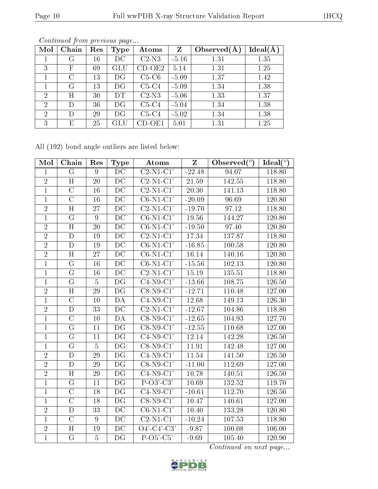| Mol            | Chain   | Res | Type                 | Atoms    | $\mathbf{Z}$ | Observed $(A$ | $Ideal(\AA)$ |
|----------------|---------|-----|----------------------|----------|--------------|---------------|--------------|
|                | G       | 16  | DC                   | $C2-N3$  | $-5.16$      | 1.31          | 1.35         |
| 3              | F       | 69  | $\operatorname{GLU}$ | $CD-OE2$ | 5.14         | 1.31          | 1.25         |
|                | $\rm C$ | 13  | DG                   | $C5-C6$  | $-5.09$      | 1.37          | 1.42         |
|                | G       | 13  | DG                   | $C5-C4$  | $-5.09$      | 1.34          | 1.38         |
| $\overline{2}$ | Η       | 30  | DT                   | $C2-N3$  | $-5.06$      | 1.33          | 1.37         |
| $\overline{2}$ | D       | 36  | DG                   | $C5-C4$  | $-5.04$      | 1.34          | 1.38         |
| $\overline{2}$ | D       | 29  | DG                   | $C5-C4$  | $-5.02$      | 1.34          | 1.38         |
| 3              | E       | 25  | GLU                  | CD-OE1   | 5.01         | 1.31          | 1.25         |

All (192) bond angle outliers are listed below:

| Mol            | Chain                   | Res             | Type                     | Atoms                                 | Z                  | Observed $(°)$     | Ideal( $^o$ ) |
|----------------|-------------------------|-----------------|--------------------------|---------------------------------------|--------------------|--------------------|---------------|
| $\mathbf{1}$   | $\overline{G}$          | 9               | $\overline{\rm DC}$      | $\overline{\text{C2-N1-C1}^{\prime}}$ | $-22.48$           | 94.07              | 118.80        |
| $\overline{2}$ | H                       | 20              | DC                       | $C2-N1-C1'$                           | $21.59\,$          | 142.55             | 118.80        |
| $\overline{1}$ | $\overline{\rm C}$      | 16              | $\overline{DC}$          | $\overline{\text{C2-N1-C1}'}$         | $\overline{20.30}$ | 141.13             | 118.80        |
| $\overline{1}$ | $\overline{\text{C}}$   | 16              | $\overline{\text{DC}}$   | $\overline{\text{C6-N1-C1}'}$         | $-20.09$           | 96.69              | 120.80        |
| $\overline{2}$ | $\overline{\rm H}$      | 27              | $\overline{\text{DC}}$   | $\overline{\text{C2-N1-C1'}}$         | $-19.70$           | $\overline{97.12}$ | 118.80        |
| $\overline{1}$ | $\overline{G}$          | $\overline{9}$  | $\overline{DC}$          | $C6-N1-C1'$                           | 19.56              | 144.27             | 120.80        |
| $\overline{2}$ | H                       | 20              | DC                       | $C6-N1-C1'$                           | $-19.50$           | 97.40              | 120.80        |
| $\overline{2}$ | $\overline{\rm D}$      | 19              | $\overline{DC}$          | $\overline{\text{C2-N1-C1}'}$         | 17.34              | 137.87             | 118.80        |
| $\overline{2}$ | $\overline{D}$          | 19              | $\overline{DC}$          | $\overline{\text{C6-N1-C1}}$          | $-16.85$           | 100.58             | 120.80        |
| $\overline{2}$ | $\overline{\mathrm{H}}$ | 27              | $\overline{\mathrm{DC}}$ | $\overline{\text{C6-N1-C1'}}$         | 16.14              | 140.16             | 120.80        |
| $\mathbf{1}$   | $\overline{\rm G}$      | 16              | DC                       | $C6-N1-C1'$                           | $-15.56$           | 102.13             | 120.80        |
| $\mathbf{1}$   | G                       | 16              | DC                       | $C2-N1-C1'$                           | 15.19              | 135.51             | 118.80        |
| $\overline{1}$ | $\overline{\mathrm{G}}$ | $\overline{5}$  | $\overline{\mathrm{DG}}$ | $C4-N9-C1'$                           | $-13.66$           | 108.75             | 126.50        |
| $\overline{2}$ | H                       | 29              | $\overline{\mathrm{DG}}$ | $\overline{\text{C8-N9-C1}}$          | $-12.71$           | 110.48             | 127.00        |
| $\mathbf{1}$   | $\overline{\rm C}$      | 10              | DA                       | $C4-N9-C1'$                           | 12.68              | 149.13             | 126.30        |
| $\overline{2}$ | $\mathbf D$             | 33              | DC                       | $C2-N1-C1'$                           | $-12.67$           | 104.86             | 118.80        |
| $\overline{1}$ | $\overline{\rm C}$      | 10              | DA                       | $C8-N9-C1'$                           | $-12.65$           | 104.93             | 127.70        |
| $\mathbf{1}$   | $\overline{\mathrm{G}}$ | 11              | DG                       | $C8-N9-C1'$                           | $-12.55$           | 110.68             | 127.00        |
| $\mathbf{1}$   | $\overline{\mathrm{G}}$ | 11              | DG                       | $\overline{C4-N9-C1'}$                | 12.14              | 142.28             | 126.50        |
| $\overline{1}$ | $\overline{\mathrm{G}}$ | $\overline{5}$  | $\overline{\mathrm{DG}}$ | $C8-N9-C1'$                           | 11.91              | 142.48             | 127.00        |
| $\overline{2}$ | $\overline{\rm D}$      | 29              | DG                       | $\overline{C4-N9-C1'}$                | 11.54              | 141.50             | 126.50        |
| $\overline{2}$ | $\mathbf D$             | $\overline{29}$ | $\overline{\mathrm{DG}}$ | $C8-N9-C1'$                           | $-11.00$           | 112.69             | 127.00        |
| $\overline{2}$ | H                       | 29              | DG                       | $C4-N9-C1'$                           | 10.78              | 140.51             | 126.50        |
| $\mathbf{1}$   | G                       | 11              | DG                       | $\overline{P-O3'-C3'}$                | 10.69              | 132.52             | 119.70        |
| $\overline{1}$ | $\overline{C}$          | 18              | $\overline{\mathrm{DG}}$ | $C4-N9-C1'$                           | $-10.61$           | 112.70             | 126.50        |
| $\overline{1}$ | $\overline{\rm C}$      | 18              | DG                       | $\overline{\text{C8-N9-C1}}$          | 10.47              | 140.61             | 127.00        |
| $\overline{2}$ | $\overline{\rm D}$      | $\overline{33}$ | $\overline{\mathrm{DC}}$ | $\overline{\text{C6-N1-C1'}}$         | 10.40              | 133.28             | 120.80        |
| $\mathbf{1}$   | $\overline{C}$          | $9\phantom{.}$  | $\overline{DC}$          | $C2-N1-C1'$                           | $-10.24$           | 107.53             | 118.80        |
| $\overline{2}$ | $\overline{\rm H}$      | 19              | DC                       | $\overline{O4'$ - $C4'$ - $C3'$       | $-9.87$            | 100.08             | 106.00        |
| $\overline{1}$ | $\overline{G}$          | $\overline{5}$  | $\overline{\mathrm{DG}}$ | $P-O5-C5'$                            | $-9.69$            | 105.40             | 120.90        |

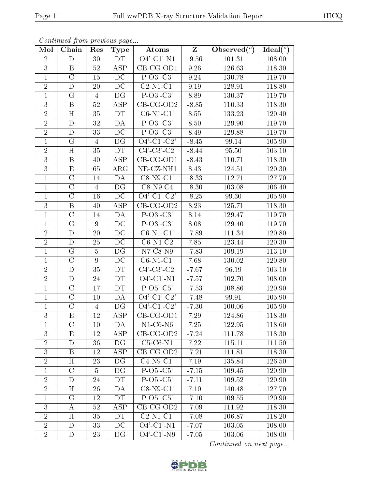| Mol            | Chain              | Res            | <b>Type</b>              | Atoms                    | $\overline{\mathbf{Z}}$ | Observed $(°)$ | Ideal $(\overline{\overline{O}})$ |
|----------------|--------------------|----------------|--------------------------|--------------------------|-------------------------|----------------|-----------------------------------|
| $\overline{2}$ | $\mathbf D$        | 30             | DT                       | $O4'$ -C1'-N1            | $-9.56$                 | 101.31         | 108.00                            |
| 3              | B                  | 52             | <b>ASP</b>               | $CB-CG-OD1$              | 9.26                    | 126.63         | 118.30                            |
| $\mathbf{1}$   | $\overline{C}$     | 15             | $\overline{\text{DC}}$   | $P-O3'-C3'$              | 9.24                    | 130.78         | 119.70                            |
| $\sqrt{2}$     | D                  | 20             | DC                       | $C2-N1-C1'$              | 9.19                    | 128.91         | 118.80                            |
| $\mathbf{1}$   | G                  | $\overline{4}$ | DG                       | $P-O3'-C3'$              | 8.89                    | 130.37         | 119.70                            |
| 3              | B                  | 52             | <b>ASP</b>               | $CB-CG-OD2$              | $-8.85$                 | 110.33         | 118.30                            |
| $\overline{2}$ | H                  | 35             | DT                       | $C6-N1-C1'$              | 8.55                    | 133.23         | 120.40                            |
| $\overline{2}$ | D                  | 32             | DA                       | $P-O3'-C3'$              | 8.50                    | 129.90         | 119.70                            |
| $\overline{2}$ | D                  | 33             | DC                       | $\overline{P-O3'-C3'}$   | 8.49                    | 129.88         | 119.70                            |
| $\mathbf{1}$   | G                  | $\overline{4}$ | DG                       | $O4'-Cl'-C2'$            | $-8.45$                 | 99.14          | 105.90                            |
| $\overline{2}$ | H                  | 35             | DT                       | $\overline{C4'-C3'-C2'}$ | $-8.44$                 | 95.50          | 103.10                            |
| $\overline{3}$ | $\, {\bf B}$       | 40             | ASP                      | $CB-CG-OD1$              | $-8.43$                 | 110.71         | 118.30                            |
| 3              | $\mathbf E$        | 65             | $\rm{ARG}$               | NE-CZ-NH1                | 8.43                    | 124.51         | 120.30                            |
| $\mathbf{1}$   | $\mathcal{C}$      | 14             | DA                       | $C8-N9-C1'$              | $-8.33$                 | 112.71         | 127.70                            |
| $\mathbf{1}$   | $\overline{C}$     | $\overline{4}$ | DG                       | $C8-N9-C4$               | $-8.30$                 | 103.08         | 106.40                            |
| $\mathbf{1}$   | $\overline{\rm C}$ | 16             | DC                       | $\overline{O4'-C1'-C2'}$ | $-8.25$                 | 99.30          | 105.90                            |
| 3              | $\boldsymbol{B}$   | 40             | $\overline{\text{ASP}}$  | $CB-CG-OD2$              | 8.23                    | 125.71         | 118.30                            |
| $\mathbf{1}$   | $\mathcal{C}$      | 14             | DA                       | $P-O3'-C3'$              | $8.14\,$                | 129.47         | 119.70                            |
| $\mathbf{1}$   | $\mathcal G$       | 9              | DC                       | $P-O3'-C3'$              | 8.08                    | 129.40         | 119.70                            |
| $\overline{2}$ | $\mathbf D$        | 20             | $\overline{DC}$          | $C6-N1-C1'$              | $-7.89$                 | 111.34         | 120.80                            |
| $\overline{2}$ | D                  | 25             | DC                       | $C6-N1-C2$               | 7.85                    | 123.44         | 120.30                            |
| $\mathbf{1}$   | $\overline{G}$     | 5              | $\overline{\mathrm{DG}}$ | $N7-C8-N9$               | $-7.83$                 | 109.19         | 113.10                            |
| $\mathbf 1$    | $\mathcal{C}$      | 9              | DC                       | $C6-N1-C1'$              | 7.68                    | 130.02         | 120.80                            |
| $\overline{2}$ | $\mathbf D$        | 35             | DT                       | $C4'-C3'-C2'$            | $-7.67$                 | 96.19          | 103.10                            |
| $\overline{2}$ | D                  | 24             | DT                       | $O4'$ -C1'-N1            | $-7.57$                 | 102.70         | 108.00                            |
| $\mathbf{1}$   | $\mathcal{C}$      | 17             | DT                       | $P-O5'-C5'$              | $-7.53$                 | 108.86         | 120.90                            |
| $\mathbf{1}$   | $\overline{C}$     | 10             | DA                       | $\overline{O4'-Cl'-C2'}$ | $-7.48$                 | 99.91          | 105.90                            |
| 1              | $\overline{C}$     | $\overline{4}$ | DG                       | $O4'-Cl'-C2'$            | $-7.30$                 | 100.06         | 105.90                            |
| $\overline{3}$ | ${\rm E}$          | 12             | ASP                      | $CB-CG-OD1$              | 7.29                    | 124.86         | 118.30                            |
| $\perp$        | $\mathcal{C}$      | 10             | DA                       | $N1-C6-N6$               | 7.25                    | 122.95         | 118.60                            |
| 3              | E                  | 12             | <b>ASP</b>               | $CB-CG-OD2$              | $-7.24$                 | 111.78         | 118.30                            |
| $\overline{2}$ | D                  | 36             | DG                       | $C5-C6-N1$               | 7.22                    | 115.11         | 111.50                            |
| 3              | B                  | 12             | ASP                      | $CB-CG-OD2$              | $-7.21$                 | 111.81         | 118.30                            |
| $\overline{2}$ | H                  | 23             | DG                       | $C4-N9-C1'$              | 7.19                    | 135.84         | 126.50                            |
| $\mathbf{1}$   | $\mathcal{C}$      | $\overline{5}$ | DG                       | $P-O5'-C5'$              | $-7.15$                 | 109.45         | 120.90                            |
| $\overline{2}$ | D                  | 24             | DT                       | $P-O5'-C5'$              | $-7.11$                 | 109.52         | 120.90                            |
| $\overline{2}$ | $H_{\rm}$          | 26             | DA                       | $C8-N9-C1'$              | $7.10\,$                | 140.48         | 127.70                            |
| $\mathbf{1}$   | $\mathcal G$       | 12             | DT                       | $P-O5-C5'$               | $-7.10$                 | 109.55         | 120.90                            |
| $\mathbf{3}$   | А                  | 52             | $\overline{\text{ASP}}$  | $CB-CG-OD2$              | $-7.09$                 | 111.92         | 118.30                            |
| $\overline{2}$ | H                  | 35             | DT                       | $C2-N1-C1'$              | $-7.08$                 | 106.87         | 118.20                            |
| $\sqrt{2}$     | $\mathbf D$        | 33             | DC                       | $O4'$ -C1'-N1            | $-7.07$                 | 103.05         | 108.00                            |
| $\overline{2}$ | D                  | 23             | DG                       | $O4'-C1'-N9$             | $-7.05$                 | 103.06         | 108.00                            |

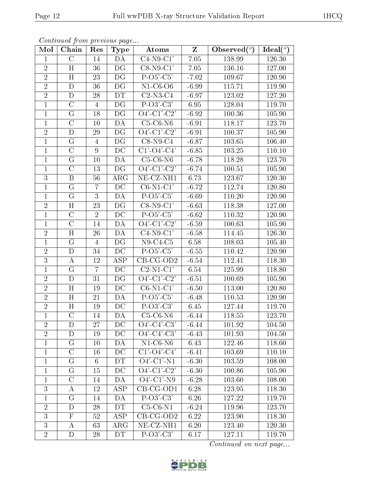| Mol              | Chain                   | Res            | <b>Type</b>            | Atoms                    | $\mathbf{Z}$ | Observed $(°)$ | Ideal(°) |
|------------------|-------------------------|----------------|------------------------|--------------------------|--------------|----------------|----------|
| $\mathbf{1}$     | $\mathcal{C}$           | 14             | DА                     | $C4-N9-C1'$              | $7.05\,$     | 138.99         | 126.30   |
| $\overline{2}$   | H                       | 36             | DG                     | $C8-N9-C1'$              | 7.05         | 136.16         | 127.00   |
| $\overline{2}$   | H                       | 23             | DG                     | $P-O5-C5$                | $-7.02$      | 109.67         | 120.90   |
| $\overline{2}$   | D                       | 36             | DG                     | $N1-C6-O6$               | $-6.99$      | 115.71         | 119.90   |
| $\overline{2}$   | $\overline{D}$          | 28             | DT                     | $C2-N3-C4$               | $-6.97$      | 123.02         | 127.20   |
| $\mathbf{1}$     | $\mathcal{C}$           | $\overline{4}$ | DG                     | $P-O3'-C3'$              | 6.95         | 128.04         | 119.70   |
| $\mathbf{1}$     | G                       | 18             | DG                     | $O4'-Cl'-C2'$            | $-6.92$      | 100.36         | 105.90   |
| $\mathbf{1}$     | $\mathcal{C}$           | 10             | DA                     | $C5-C6-N6$               | $-6.91$      | 118.17         | 123.70   |
| $\overline{2}$   | $\mathbf D$             | 29             | DG                     | $O4'-Cl'-C2'$            | $-6.91$      | 100.37         | 105.90   |
| $\mathbf{1}$     | G                       | $\overline{4}$ | DG                     | $C8-N9-C4$               | $-6.87$      | 103.65         | 106.40   |
| $\mathbf{1}$     | $\overline{C}$          | 9              | DC                     | $C1'$ - $O4'$ - $C4'$    | $-6.85$      | 103.25         | 110.10   |
| $\mathbf{1}$     | G                       | 10             | DA                     | $C5-C6-N6$               | $-6.78$      | 118.28         | 123.70   |
| $\mathbf{1}$     | $\mathcal{C}$           | 13             | DG                     | $\overline{O4'-C1'-C2}$  | $-6.74$      | 100.51         | 105.90   |
| 3                | $\mathbf{B}$            | 56             | $\rm{ARG}$             | NE-CZ-NH1                | 6.73         | 123.67         | 120.30   |
| $\mathbf{1}$     | $\overline{G}$          | $\overline{7}$ | DC                     | $C6-N1-C1'$              | $-6.72$      | 112.74         | 120.80   |
| $\mathbf{1}$     | G                       | 3              | DA                     | $P-O5'-C5'$              | $-6.69$      | 110.20         | 120.90   |
| $\overline{2}$   | H                       | 23             | $D\overline{G}$        | $C8-N9-C1'$              | $-6.63$      | 118.38         | 127.00   |
| $\mathbf{1}$     | $\mathcal{C}$           | $\overline{2}$ | $\rm DC$               | $P-O5'C5'$               | $-6.62$      | 110.32         | 120.90   |
| $\mathbf{1}$     | $\mathcal{C}$           | 14             | DA                     | $\overline{O4'-C1'-C2'}$ | $-6.59$      | 100.63         | 105.90   |
| $\overline{2}$   | $\overline{H}$          | $26\,$         | DA                     | $C4-N9-C1'$              | $-6.58$      | 114.45         | 126.30   |
| $\mathbf{1}$     | $\mathcal G$            | $\overline{4}$ | DG                     | $N9-C4-C5$               | 6.58         | 108.03         | 105.40   |
| $\overline{2}$   | $\mathbf D$             | 34             | $\overline{DC}$        | $P-O5-C5'$               | $-6.55$      | 110.42         | 120.90   |
| $\overline{3}$   | $\bf{A}$                | $12\,$         | <b>ASP</b>             | $CB-CG-OD2$              | $-6.54$      | 112.41         | 118.30   |
| $\overline{1}$   | $\overline{G}$          | $\overline{7}$ | $\overline{DC}$        | $C2-N1-C1'$              | 6.54         | 125.99         | 118.80   |
| $\sqrt{2}$       | $\mathbf D$             | 31             | DG                     | $O4'-Cl'-C2'$            | $-6.51$      | 100.69         | 105.90   |
| $\sqrt{2}$       | H                       | 19             | $\rm DC$               | $C6-N1-C1'$              | $-6.50$      | 113.00         | 120.80   |
| $\overline{2}$   | H                       | 21             | DA                     | $P-O5'-C5'$              | $-6.48$      | 110.53         | 120.90   |
| $\overline{2}$   | H                       | 19             | DC                     | $P-O3'-C3'$              | 6.45         | 127.44         | 119.70   |
| $\overline{1}$   | $\overline{\mathrm{C}}$ | 14             | DA                     | $C5-C6-N6$               | $-6.44$      | 118.55         | 123.70   |
| $\sqrt{2}$       | D                       | 27             | DC                     | $O4'$ -C4'-C3'           | $-6.44$      | 101.92         | 104.50   |
| $\overline{2}$   | D                       | 19             | $\overline{\text{DC}}$ | $O4'$ -C4'-C3'           | $-6.43$      | 101.93         | 104.50   |
| $\mathbf{1}$     | $\rm G$                 | 10             | DA                     | $N1$ -C6-N6              | 6.43         | 122.46         | 118.60   |
| $\mathbf{1}$     | $\mathcal{C}$           | 16             | DC                     | $C1' - O4' - C4'$        | $-6.41$      | 103.69         | 110.10   |
| $\mathbf{1}$     | G                       | 6              | DT                     | $O4'$ -C1'-N1            | $-6.30$      | 103.59         | 108.00   |
| $\mathbf{1}$     | $\mathcal G$            | 15             | DC                     | $O4'-Cl'-C2'$            | $-6.30$      | 100.86         | 105.90   |
| $\mathbf{1}$     | $\mathcal{C}$           | 14             | DA                     | $O4'$ -C1'-N9            | $-6.28$      | 103.60         | 108.00   |
| $\boldsymbol{3}$ | A                       | 12             | ASP                    | CB-CG-OD1                | 6.28         | 123.95         | 118.30   |
| $\mathbf{1}$     | $\mathbf G$             | 14             | DA                     | $P-O3'-C3'$              | 6.26         | 127.22         | 119.70   |
| $\sqrt{2}$       | $\mathbf D$             | 28             | DT                     | $C5-C6-N1$               | $-6.24$      | 119.96         | 123.70   |
| 3                | $\mathbf{F}$            | 52             | ASP                    | $CB-CG-OD2$              | 6.22         | 123.90         | 118.30   |
| $\overline{3}$   | A                       | 63             | $\rm{ARG}$             | $NE- CZ-NH1$             | 6.20         | 123.40         | 120.30   |
| $\overline{2}$   | D                       | 28             | DT                     | $P-O3'-C3'$              | 6.17         | 127.11         | 119.70   |

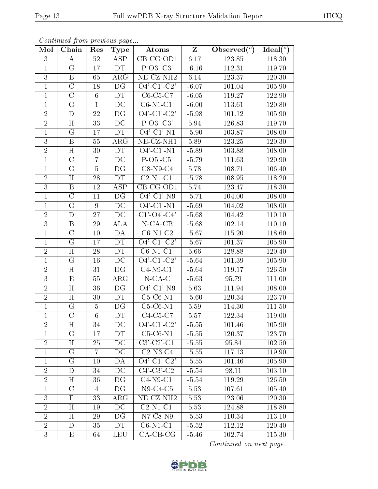| Mol            | Chain                   | Res             | <b>Type</b>          | Atoms                                                                       | $\mathbf{Z}$ | Observed $(\overline{\overline{\circ}})$ | Ideal $\left(\sqrt[\rho]{\phantom{a}}\right)$ |
|----------------|-------------------------|-----------------|----------------------|-----------------------------------------------------------------------------|--------------|------------------------------------------|-----------------------------------------------|
| 3              | A                       | 52              | $\operatorname{ASP}$ | $CB-CG-OD1$                                                                 | 6.17         | 123.85                                   | 118.30                                        |
| $\mathbf{1}$   | G                       | 17              | DT                   | $P-O3'-C3'$                                                                 | $-6.16$      | 112.31                                   | 119.70                                        |
| $\overline{3}$ | $\mathbf{B}$            | 65              | $\rm{ARG}$           | NE-CZ-NH <sub>2</sub>                                                       | 6.14         | 123.37                                   | 120.30                                        |
| $\mathbf{1}$   | $\mathcal{C}$           | 18              | DG                   | $O4'-C1'-C2'$                                                               | $-6.07$      | 101.04                                   | 105.90                                        |
| $\mathbf{1}$   | $\overline{\rm C}$      | 6               | DT                   | $C6-C5-C7$                                                                  | $-6.05$      | 119.27                                   | 122.90                                        |
| $\mathbf{1}$   | G                       | $\mathbf{1}$    | DC                   | $C6-N1-C1'$                                                                 | $-6.00$      | 113.61                                   | 120.80                                        |
| $\overline{2}$ | D                       | $22\,$          | DG                   | $O4'$ -C1'-C2'                                                              | $-5.98$      | 101.12                                   | 105.90                                        |
| $\overline{2}$ | H                       | 33              | $\overline{DC}$      | $P-O3'-C3'$                                                                 | 5.94         | 126.83                                   | 119.70                                        |
| $\mathbf{1}$   | G                       | 17              | DT                   | $\overline{O4'-C1'-N1}$                                                     | $-5.90$      | 103.87                                   | 108.00                                        |
| $\overline{3}$ | $\mathbf{B}$            | $55\,$          | $\rm{ARG}$           | NE-CZ-NH1                                                                   | 5.89         | 123.25                                   | 120.30                                        |
| $\sqrt{2}$     | H                       | 30              | DT                   | $O4'$ -C1'-N1                                                               | $-5.89$      | 103.88                                   | 108.00                                        |
| $\mathbf{1}$   | $\mathcal{C}$           | 7               | DC                   | $P-O5'-C5'$                                                                 | $-5.79$      | 111.63                                   | 120.90                                        |
| $\mathbf{1}$   | G                       | $\overline{5}$  | DG                   | $C8-N9-C4$                                                                  | 5.78         | 108.71                                   | 106.40                                        |
| $\overline{2}$ | H                       | 28              | DT                   | $C2-N1-C1'$                                                                 | $-5.78$      | 108.95                                   | 118.20                                        |
| $\overline{3}$ | $\overline{\mathrm{B}}$ | 12              | ASP                  | $CB-CG-OD1$                                                                 | 5.74         | 123.47                                   | 118.30                                        |
| $\mathbf{1}$   | $\mathcal{C}$           | 11              | DG                   | $O4'-C1'-N9$                                                                | $-5.71$      | 104.00                                   | 108.00                                        |
| $\mathbf{1}$   | G                       | 9               | $\overline{DC}$      | $O4'$ -C1'-N1                                                               | $-5.69$      | 104.02                                   | 108.00                                        |
| $\overline{2}$ | D                       | 27              | DC                   | $C1$ <sup>'</sup> -O <sub>4</sub> <sup>'</sup> -C <sub>4</sub> <sup>'</sup> | $-5.68$      | 104.42                                   | 110.10                                        |
| $\overline{3}$ | $\boldsymbol{B}$        | 29              | <b>ALA</b>           | $N-CA-CB$                                                                   | $-5.68$      | 102.14                                   | 110.10                                        |
| $\mathbf{1}$   | $\mathcal{C}$           | 10              | DA                   | $C6-N1-C2$                                                                  | $-5.67$      | 115.20                                   | 118.60                                        |
| $\mathbf{1}$   | G                       | 17              | DT                   | $O4'$ -C1'-C2'                                                              | $-5.67$      | 101.37                                   | 105.90                                        |
| $\overline{2}$ | H                       | 28              | <b>DT</b>            | $C6-N1-C1'$                                                                 | 5.66         | 128.88                                   | 120.40                                        |
| $\mathbf{1}$   | G                       | 16              | DC                   | $O4'$ -C1'-C2'                                                              | $-5.64$      | 101.39                                   | 105.90                                        |
| $\overline{2}$ | $\overline{H}$          | 31              | DG                   | $C4-N9-C1'$                                                                 | $-5.64$      | 119.17                                   | 126.50                                        |
| $\overline{3}$ | $\mathbf E$             | 55              | $\rm{ARG}$           | $N$ -CA-C                                                                   | $-5.63$      | 95.79                                    | 111.00                                        |
| $\overline{2}$ | H                       | 36              | DG                   | $O4'$ -C1'-N9                                                               | 5.63         | 111.94                                   | 108.00                                        |
| $\overline{2}$ | H                       | 30              | <b>DT</b>            | $C5-C6-N1$                                                                  | $-5.60$      | 120.34                                   | 123.70                                        |
| $\mathbf{1}$   | G                       | $\overline{5}$  | DG                   | $C5-C6-N1$                                                                  | 5.59         | 114.30                                   | 111.50                                        |
| $\overline{1}$ | $\overline{C}$          | $6\phantom{.}6$ | DT                   | $C4-C5-C7$                                                                  | 5.57         | 122.34                                   | 119.00                                        |
| $\overline{2}$ | $H_{\rm}$               | 34              | $_{\rm DC}$          | $O4'$ -C1'-C2'                                                              | $-5.55$      | 101.46                                   | 105.90                                        |
| $\mathbf 1$    | $\mathcal G$            | 17              | DT                   | $C5-C6-N1$                                                                  | $-5.55$      | 120.37                                   | 123.70                                        |
| $\overline{2}$ | H                       | 25              | DC                   | $C3'-C2'-C1'$                                                               | $-5.55$      | 95.84                                    | 102.50                                        |
| $\mathbf{1}$   | G                       | 7               | DC                   | $C2-N3-C4$                                                                  | $-5.55$      | 117.13                                   | 119.90                                        |
| $\mathbf{1}$   | G                       | 10              | DA                   | $\overline{O4'$ - $C1'$ - $C2'$                                             | $-5.55$      | 101.46                                   | 105.90                                        |
| $\overline{2}$ | D                       | 34              | DC                   | $C4'-C3'-C2'$                                                               | $-5.54$      | 98.11                                    | 103.10                                        |
| $\overline{2}$ | $H_{\rm}$               | 36              | DG                   | $C4-N9-C1'$                                                                 | $-5.54$      | 119.29                                   | 126.50                                        |
| $\mathbf{1}$   | $\mathcal{C}$           | 4               | DG                   | $N9-C4-C5$                                                                  | 5.53         | 107.61                                   | 105.40                                        |
| 3              | F                       | 33              | $\rm{ARG}$           | NE-CZ-NH <sub>2</sub>                                                       | 5.53         | 123.06                                   | 120.30                                        |
| $\overline{2}$ | $H_{\rm}$               | 19              | DC                   | $C2-N1-C1'$                                                                 | 5.53         | 124.88                                   | 118.80                                        |
| $\overline{2}$ | H                       | 29              | DG                   | $N7$ -C8- $N9$                                                              | $-5.53$      | 110.34                                   | 113.10                                        |
| $\overline{2}$ | D                       | 35              | DT                   | $C6-N1-C1'$                                                                 | $-5.52$      | 112.12                                   | 120.40                                        |
| 3              | Е                       | 64              | LEU                  | $CA-CB-CG$                                                                  | $-5.46$      | 102.74                                   | 115.30                                        |

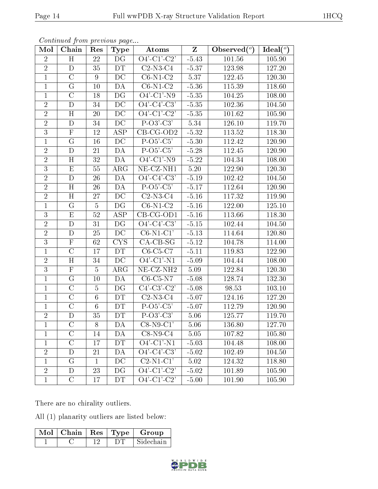| Mol            | Chain              | Res             | <b>Type</b>            | Atoms                                      | $\mathbf{Z}$ | Observed $(°)$ | $\overline{\text{Ideal}}({}^o)$ |
|----------------|--------------------|-----------------|------------------------|--------------------------------------------|--------------|----------------|---------------------------------|
| $\overline{2}$ | H                  | 22              | DG                     | $O4'$ -C1'-C2'                             | $-5.43$      | 101.56         | 105.90                          |
| $\overline{2}$ | D                  | 35              | <b>DT</b>              | $C2-N3-C4$                                 | $-5.37$      | 123.98         | 127.20                          |
| $\mathbf{1}$   | $\overline{C}$     | 9               | DC                     | $C6-\overline{N1-C2}$                      | 5.37         | 122.45         | 120.30                          |
| $\mathbf{1}$   | G                  | 10              | DA                     | $C6-N1-C2$                                 | $-5.36$      | 115.39         | 118.60                          |
| $\mathbf{1}$   | $\mathcal{C}$      | 18              | DG                     | $O4'-C1'-N9$                               | $-5.35$      | 104.25         | 108.00                          |
| $\overline{2}$ | D                  | 34              | DC                     | $O4'$ -C4'-C3'                             | $-5.35$      | 102.36         | 104.50                          |
| $\overline{2}$ | H                  | 20              | DC                     | $O4'$ -C1'-C2'                             | $-5.35$      | 101.62         | 105.90                          |
| $\overline{2}$ | $\mathbf D$        | 34              | DC                     | $P-O3'-C3'$                                | 5.34         | 126.10         | 119.70                          |
| 3              | $\mathbf{F}$       | 12              | ASP                    | $\overline{CB}$ -CG-OD2                    | $-5.32$      | 113.52         | 118.30                          |
| $\mathbf{1}$   | $\overline{G}$     | $16\,$          | $\overline{DC}$        | $P-O5-C5'$                                 | $-5.30$      | 112.42         | 120.90                          |
| $\overline{2}$ | D                  | 21              | DA                     | $P-O5-C5'$                                 | $-5.28$      | 112.45         | 120.90                          |
| $\overline{2}$ | $\overline{\rm H}$ | $\overline{32}$ | $\overline{DA}$        | $O4'-Cl'-N9$                               | $-5.22$      | 104.34         | 108.00                          |
| $\overline{3}$ | $\mathbf E$        | 55              | $\rm{ARG}$             | $NE$ -CZ-NH1                               | $5.20\,$     | 122.90         | 120.30                          |
| $\overline{2}$ | $\mathbf D$        | 26              | DA                     | $\overline{O4'-C4'-C3'}$                   | $-5.19$      | 102.42         | 104.50                          |
| $\overline{2}$ | H                  | 26              | DA                     | $P-O5-C5'$                                 | $-5.17$      | 112.64         | 120.90                          |
| $\overline{2}$ | H                  | 27              | DC                     | $C2-N3-C4$                                 | $-5.16$      | 117.32         | 119.90                          |
| $\mathbf{1}$   | G                  | $\overline{5}$  | DG                     | $C6-N1-C2$                                 | $-5.16$      | 122.00         | 125.10                          |
| 3              | ${\bf E}$          | $52\,$          | ASP                    | $CB-CG-OD1$                                | $-5.16$      | 113.66         | 118.30                          |
| $\overline{2}$ | D                  | 31              | DG                     | $O4'$ -C4'-C3'                             | $-5.15$      | 102.44         | 104.50                          |
| $\overline{2}$ | D                  | 25              | DC                     | $C6-N1-C1'$                                | $-5.13$      | 114.64         | 120.80                          |
| $\overline{3}$ | $\mathbf F$        | 62              | <b>CYS</b>             | $CA-CB-SG$                                 | $-5.12$      | 104.78         | 114.00                          |
| $\mathbf{1}$   | $\overline{C}$     | 17              | DT                     | $C6-C5-C7$                                 | $-5.11$      | 119.83         | 122.90                          |
| $\sqrt{2}$     | H                  | 34              | DC                     | $O4'-Cl'-N1$                               | $-5.09$      | 104.44         | 108.00                          |
| $\overline{3}$ | $\mathbf F$        | $\overline{5}$  | $\rm{ARG}$             | NE-CZ-NH <sub>2</sub>                      | 5.09         | 122.84         | 120.30                          |
| $\mathbf{1}$   | G                  | 10              | DA                     | $C6-C5-N7$                                 | $-5.08$      | 128.74         | 132.30                          |
| $\mathbf{1}$   | $\mathcal{C}$      | $\overline{5}$  | DG                     | $C4'-C3'-C2'$                              | $-5.08$      | 98.53          | 103.10                          |
| $\overline{1}$ | $\overline{C}$     | $6\phantom{.}6$ | DT                     | $C2-N3-C4$                                 | $-5.07$      | 124.16         | 127.20                          |
| $\mathbf{1}$   | $\mathcal{C}$      | 6               | DT                     | $P-O5'-C5'$                                | $-5.07$      | 112.79         | 120.90                          |
| $\overline{2}$ | ${\rm D}$          | 35              | $\overline{\text{DT}}$ | $P-O3'-C3'$                                | 5.06         | 125.77         | 119.70                          |
| $\perp$        | $\mathcal{C}$      | 8               | DA                     | $C8-N9-C1'$                                | 5.06         | 136.80         | 127.70                          |
| $\mathbf{1}$   | $\overline{C}$     | 14              | DA                     | $C8-N9-C4$                                 | 5.05         | 107.82         | 105.80                          |
| $\mathbf{1}$   | $\mathcal{C}$      | 17              | DT                     | $O4'$ - $\overline{Cl'$ - $\overline{N1}}$ | $-5.03$      | 104.48         | 108.00                          |
| $\overline{2}$ | D                  | 21              | DA                     | $O4'-C4'-C3'$                              | $-5.02$      | 102.49         | 104.50                          |
| $\mathbf{1}$   | G                  | $\mathbf 1$     | DC                     | $C2-N1-C1'$                                | 5.02         | 124.32         | 118.80                          |
| $\overline{2}$ | D                  | 23              | DG                     | $O4'$ -C1'-C2'                             | $-5.02$      | 101.89         | 105.90                          |
| $\mathbf{1}$   | $\mathcal{C}$      | 17              | DT                     | $\overline{O4'$ -C1'-C2'                   | $-5.00$      | 101.90         | 105.90                          |

There are no chirality outliers.

All (1) planarity outliers are listed below:

| $\overline{\text{Mol}}$   Chain   Res   Type |  | Group     |
|----------------------------------------------|--|-----------|
|                                              |  | Sidechain |

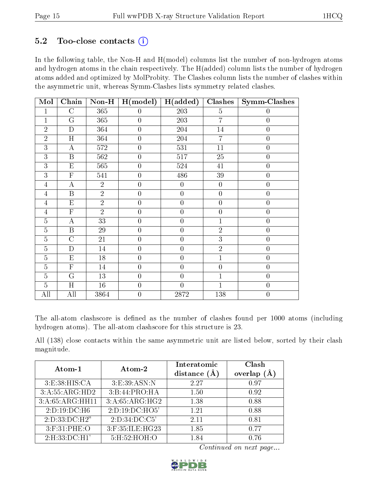## $5.2$  Too-close contacts  $(i)$

In the following table, the Non-H and H(model) columns list the number of non-hydrogen atoms and hydrogen atoms in the chain respectively. The H(added) column lists the number of hydrogen atoms added and optimized by MolProbity. The Clashes column lists the number of clashes within the asymmetric unit, whereas Symm-Clashes lists symmetry related clashes.

| Mol            | Chain                   | $Non-H$        | H (model)        | H(added)         | <b>Clashes</b>   | <b>Symm-Clashes</b> |
|----------------|-------------------------|----------------|------------------|------------------|------------------|---------------------|
| 1              | $\mathcal{C}$           | 365            | $\boldsymbol{0}$ | 203              | $\overline{5}$   | 0                   |
| $\overline{1}$ | G                       | 365            | $\boldsymbol{0}$ | 203              | $\overline{7}$   | $\boldsymbol{0}$    |
| $\overline{2}$ | $\mathbf{D}$            | 364            | $\boldsymbol{0}$ | 204              | 14               | $\overline{0}$      |
| $\overline{2}$ | H                       | 364            | $\boldsymbol{0}$ | $204\,$          | $\overline{7}$   | $\boldsymbol{0}$    |
| 3              | $\bf{A}$                | 572            | $\overline{0}$   | 531              | 11               | $\overline{0}$      |
| 3              | $\boldsymbol{B}$        | 562            | $\overline{0}$   | 517              | 25               | $\overline{0}$      |
| 3              | $\mathbf E$             | 565            | $\boldsymbol{0}$ | 524              | 41               | $\boldsymbol{0}$    |
| $\overline{3}$ | $\overline{\mathrm{F}}$ | 541            | $\overline{0}$   | 486              | $39\,$           | $\boldsymbol{0}$    |
| $\overline{4}$ | $\overline{A}$          | $\overline{2}$ | $\overline{0}$   | $\overline{0}$   | $\boldsymbol{0}$ | $\overline{0}$      |
| $\overline{4}$ | $\mathbf{B}$            | $\overline{2}$ | $\boldsymbol{0}$ | $\overline{0}$   | $\boldsymbol{0}$ | $\boldsymbol{0}$    |
| $\overline{4}$ | $\mathbf{E}% _{0}$      | $\overline{2}$ | $\boldsymbol{0}$ | $\overline{0}$   | $\overline{0}$   | $\overline{0}$      |
| $\overline{4}$ | $\overline{F}$          | $\overline{2}$ | $\boldsymbol{0}$ | $\overline{0}$   | $\boldsymbol{0}$ | $\boldsymbol{0}$    |
| $\overline{5}$ | $\bf{A}$                | 33             | $\boldsymbol{0}$ | $\overline{0}$   | $\overline{1}$   | $\boldsymbol{0}$    |
| $\overline{5}$ | $\overline{B}$          | 29             | $\boldsymbol{0}$ | $\boldsymbol{0}$ | $\sqrt{2}$       | $\boldsymbol{0}$    |
| $\overline{5}$ | $\mathcal{C}$           | 21             | $\boldsymbol{0}$ | $\overline{0}$   | $\overline{3}$   | $\boldsymbol{0}$    |
| $\overline{5}$ | $\mathbf D$             | 14             | $\boldsymbol{0}$ | $\overline{0}$   | $\overline{2}$   | $\overline{0}$      |
| $\overline{5}$ | ${\rm E}$               | $18\,$         | $\boldsymbol{0}$ | $\boldsymbol{0}$ | $\mathbf{1}$     | $\boldsymbol{0}$    |
| $\overline{5}$ | $\mathbf F$             | 14             | $\boldsymbol{0}$ | $\overline{0}$   | $\boldsymbol{0}$ | $\boldsymbol{0}$    |
| $\overline{5}$ | G                       | 13             | $\overline{0}$   | $\overline{0}$   | $\mathbf{1}$     | $\overline{0}$      |
| $\overline{5}$ | H                       | $16\,$         | $\boldsymbol{0}$ | $\overline{0}$   | $\mathbf{1}$     | $\boldsymbol{0}$    |
| All            | All                     | 3864           | $\boldsymbol{0}$ | 2872             | 138              | $\overline{0}$      |

The all-atom clashscore is defined as the number of clashes found per 1000 atoms (including hydrogen atoms). The all-atom clashscore for this structure is 23.

All (138) close contacts within the same asymmetric unit are listed below, sorted by their clash magnitude.

| Atom-1            | $\boldsymbol{\mathrm{Atom}\text{-}2}$ | Interatomic    | Clash          |
|-------------------|---------------------------------------|----------------|----------------|
|                   |                                       | distance $(A)$ | (A)<br>overlap |
| 3: E: 38: HIS: CA | 3:E:39:ASN:N                          | 2.27           | 0.97           |
| 3:A:55:ARG:HD2    | 3: B:44: PRO:HA                       | 1.50           | 0.92           |
| 3:A:65:ARG:HH11   | 3:A:65:ARG:HG2                        | 1.38           | 0.88           |
| 2:D:19:DC:H6      | 2:D:19:DC:HO5'                        | 1.21           | 0.88           |
| 2:D:33:DC:H2"     | 2:D:34:DC:C5'                         | 2.11           | 0.81           |
| $3:$ F:31:PHE:O   | 3:F:35:ILE:HG23                       | 1.85           | 0.77           |
| 2: H: 33: DC:H1'  | 5:H:52:HOH:O                          | 1.84           | 0.76           |

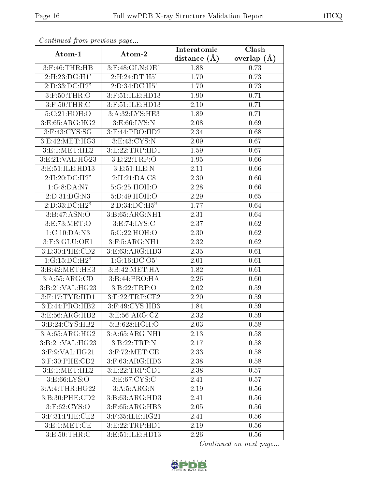| continual from previous page |                    | Interatomic    | Clash           |
|------------------------------|--------------------|----------------|-----------------|
| Atom-1                       | Atom-2             | distance $(A)$ | overlap $(\AA)$ |
| $3:$ F:46:THR:HB             | 3:F:48:GLN:OE1     | 1.88           | 0.73            |
| 2:H:23:DG:H1'                | 2:H:24:DT:H5'      | 1.70           | 0.73            |
| 2:D:33:D C:H2"               | $2:D:34:D\\C:H5'$  | 1.70           | 0.73            |
| $3:$ F:50:THR:O              | 3:F:51:ILE:HD13    | 1.90           | 0.71            |
| $3:$ F:50:THR:C              | 3:F:51:ILE:HD13    | 2.10           | 0.71            |
| 5:C:21:HOH:O                 | 3:A:32:LYS:HE3     | 1.89           | 0.71            |
| 3: E: 65: ARG: HG2           | 3: E: 66: LYS: N   | 2.08           | 0.69            |
| $3:$ F:43:CYS:SG             | $3:$ F:44:PRO:HD2  | 2.34           | 0.68            |
| 3:E:42:MET:HG3               | 3:E:43:CYS:N       | 2.09           | 0.67            |
| 3: E: 1: MET: HE2            | 3:E:22:TRP:HD1     | 1.59           | 0.67            |
| 3:E:21:VAL:HG23              | 3: E: 22: TRP:O    | 1.95           | 0.66            |
| 3:E:51:ILE:HD13              | 3: E:51: ILE:N     | 2.11           | 0.66            |
| 2:H:20:DC:H2"                | 2:H:21:DA:C8       | 2.30           | 0.66            |
| 1:G:8:DA:N7                  | 5:G:25:HOH:O       | 2.28           | 0.66            |
| 2:D:31:DG:N3                 | 5:D:49:HOH:O       | 2.29           | 0.65            |
| 2:D:33:DC:H2"                | 2:D:34:DC:H5"      | 1.77           | 0.64            |
| 3: B:47: ASN:O               | 3:B:65:ARG:NH1     | 2.31           | 0.64            |
| 3: E: 73: MET:O              | 3: E: 74: LYS:C    | 2.37           | 0.62            |
| 1:C:10:DA:N3                 | 5:C:22:HOH:O       | 2.30           | 0.62            |
| $3:$ F: $3:GLU:OE1$          | 3: F:5: ARG:NH1    | 2.32           | 0.62            |
| 3: E:30: PHE:CD2             | 3:E:63:ARG:HD3     | 2.35           | 0.61            |
| 1:G:15:DC:H2"                | 1:G:16:DC:O5'      | 2.01           | 0.61            |
| 3:B:42:MET:HE3               | 3:B:42:MET:HA      | 1.82           | 0.61            |
| 3:A:55:ARG:CD                | 3: B:44: PRO:HA    | 2.26           | 0.60            |
| 3:B:21:VAL:HG23              | 3: B: 22: TRP:O    | 2.02           | 0.59            |
| 3:F:17:TYR:HD1               | $3:$ F:22:TRP:CE2  | 2.20           | 0.59            |
| 3: E: 44: PRO: HB2           | 3:F:49:CYS:HB3     | 1.84           | 0.59            |
| 3: E: 56: ARG: HB2           | 3: E: 56: ARG: CZ  | 2.32           | 0.59            |
| 3:B:24:CYS:HB2               | 5:B:628:HOH:O      | 2.03           | 0.58            |
| 3:A:65:ARG:HG2               | 3:A:65:ARG:NH1     | 2.13           | 0.58            |
| 3:B:21:VAL:HG23              | 3: B: 22: TRP: N   | 2.17           | 0.58            |
| 3:F:9:VAL:HG21               | $3:$ F:72:MET:CE   | 2.33           | 0.58            |
| 3:F:30:PHE:CD2               | 3:F:63:ARG:HD3     | 2.38           | 0.58            |
| 3: E: 1: MET: HE2            | 3:E:22:TRP:CD1     | 2.38           | 0.57            |
| 3: E:66: LYS:O               | 3: E:67: CYS:C     | 2.41           | 0.57            |
| 3:A:4:THR:HG22               | 3: A:5: ARG:N      | 2.19           | 0.56            |
| 3:B:30:PHE:CD2               | 3:B:63:ARG:HD3     | 2.41           | 0.56            |
| 3:F:62:CYS:O                 | 3:F:65:ARG:HB3     | 2.05           | 0.56            |
| 3:F:31:PHE:CE2               | 3:F:35:ILE:HG21    | 2.41           | 0.56            |
| 3: E: 1: MET: CE             | 3: E: 22: TRP: HD1 | 2.19           | 0.56            |
| 3: E: 50: THR:C              | 3:E:51:ILE:HD13    | 2.26           | 0.56            |

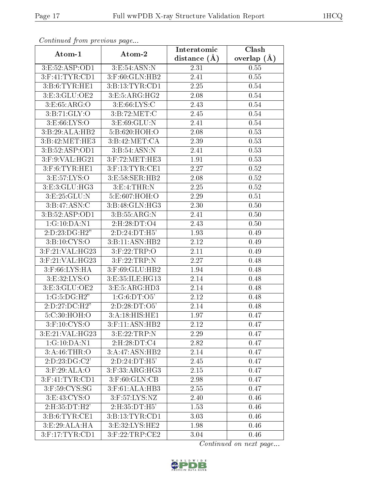| continual from previous page            |                              | Interatomic      | Clash         |
|-----------------------------------------|------------------------------|------------------|---------------|
| Atom-1                                  | Atom-2                       | distance $(\AA)$ | overlap $(A)$ |
| 3:E:52:ASP:OD1                          | 3:E:54:ASN:N                 | 2.31             | 0.55          |
| $3:$ F:41:TYR:CD1                       | 3:F:60:GLN:HB2               | 2.41             | 0.55          |
| 3: B: 6: TYR: HE1                       | 3:B:13:TYR:CD1               | 2.25             | 0.54          |
| 3:E:3:GLU:OE2                           | 3: E: 5: ARG:HG2             | 2.08             | 0.54          |
| 3:E:65:ARG:O                            | 3: E:66: LYS:C               | 2.43             | 0.54          |
| 3: B:71: GLY:O                          | 3: B:72: MET:C               | 2.45             | 0.54          |
| 3:E:66:LYS:O                            | 3: E: 69: GLU: N             | 2.41             | 0.54          |
| 3:B:29:ALA:HB2                          | 5:B:620:HOH:O                | 2.08             | 0.53          |
| 3:B:42:MET:HE3                          | 3: B:42: MET:CA              | 2.39             | 0.53          |
| 3:B:52:ASP:OD1                          | $3: B:54: \overline{ASN: N}$ | 2.41             | 0.53          |
| 3:F:9:VAL:HG21                          | 3:F:72:MET:HE3               | 1.91             | 0.53          |
| $3:$ F:6:TYR:HE1                        | $3:$ F:13:TYR:CE1            | 2.27             | 0.52          |
| 3:E:57:LYS:O                            | 3:E:58:SER:HB2               | 2.08             | 0.52          |
| 3:E:3:GLU:HG3                           | 3: E: 4: THR:N               | 2.25             | 0.52          |
| 3:E:25:GLU:N                            | 5:E:607:HOH:O                | 2.29             | 0.51          |
| 3:Bi:47:ASN:C                           | 3:B:48:GLN:HG3               | 2.30             | 0.50          |
| 3:B:52:ASP:OD1                          | 3: B: 55: ARG: N             | 2.41             | 0.50          |
| 1:G:10:DA:N1                            | 2:H:28:DT:O4                 | 2.43             | 0.50          |
| 2:D:23:DG:H2"                           | 2:D:24:DT:H5'                | 1.93             | 0.49          |
| 3:Bi:10:CYS:O                           | 3:B:11:ASN:HB2               | 2.12             | 0.49          |
| 3:F:21:VAL:HG23                         | 3: F:22:TRP:O                | 2.11             | 0.49          |
| $3:$ F:21:VAL:H $\overline{\text{G23}}$ | 3: F:22:TRP:N                | 2.27             | 0.48          |
| $3:$ F:66:LYS:HA                        | 3:F:69:GLU:HB2               | 1.94             | 0.48          |
| 3: E:32: LYS:O                          | 3:E:35:ILE:HG13              | 2.14             | 0.48          |
| 3:E:3:GLU:OE2                           | 3:E:5:ARG:HD3                | 2.14             | 0.48          |
| 1:G:5:DG:H2"                            | 1:G:6:DT:O5'                 | 2.12             | 0.48          |
| 2:D:27:DC:H2"                           | 2:D:28:DT:O5'                | 2.14             | 0.48          |
| 5:C:30:HOH:O                            | $3:A:18:HI\overline{S:HE1}$  | 1.97             | 0.47          |
| $3:$ F:10:CYS:O                         | 3:F:11:ASN:HB2               | 2.12             | 0.47          |
| 3:E:21:VAL:HG23                         | 3: E: 22: TRP: N             | 2.29             | 0.47          |
| 1:G:10:DA:N1                            | 2:H:28:DT:C4                 | 2.82             | 0.47          |
| 3: A:46:THR:O                           | 3:A:47:ASN:HB2               | 2.14             | 0.47          |
| 2:D:23:DG:C2'                           | 2:D:24:DT:H5'                | 2.45             | 0.47          |
| $3:$ F:29:ALA:O                         | $3:$ F:33:ARG:HG3            | 2.15             | 0.47          |
| $3:$ F:41:TYR:CD1                       | $3:$ F:60: $GLN$ :CB         | 2.98             | 0.47          |
| $3:$ F:59:CYS:SG                        | 3:F:61:ALA:HB3               | 2.55             | 0.47          |
| 3: E: 43: CYS:O                         | $3:$ F:57:LYS:NZ             | 2.40             | 0.46          |
| 2:H:35:DT:H2'                           | 2:H:35:DT:H5'                | 1.53             | 0.46          |
| 3: B:6: TYR: CE1                        | 3:B:13:TYR:CD1               | 3.03             | 0.46          |
| 3: E:29: ALA: HA                        | 3:E:32:LYS:HE2               | 1.98             | 0.46          |
| $3:$ F:17:TYR:CD1                       | $3:$ F:22:TRP:CE2            | 3.04             | 0.46          |

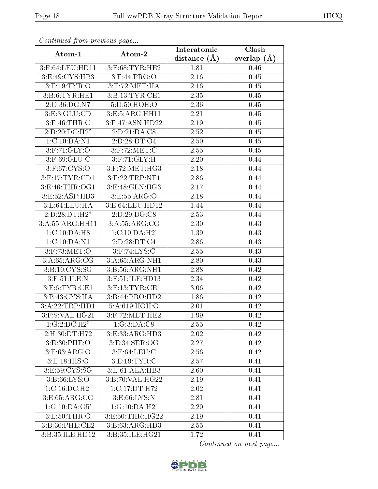| continual from previous page |                    | Interatomic    | Clash           |
|------------------------------|--------------------|----------------|-----------------|
| Atom-1                       | Atom-2             | distance $(A)$ | overlap $(\AA)$ |
| 3:F:64:LEU:HD11              | $3:$ F:68:TYR:HE2  | 1.81           | 0.46            |
| 3:E:49:CYS:HB3               | $3:$ F:44:PRO:O    | 2.16           | 0.45            |
| 3: E: 19: TYR: O             | 3: E: 72: MET: HA  | 2.16           | 0.45            |
| 3: B: 6: TYR: HE1            | 3: B: 13: TYR: CE1 | 2.35           | 0.45            |
| 2:D:36:DG:N7                 | 5:D:50:HOH:O       | 2.36           | 0.45            |
| 3: E: 3: GLU: CD             | 3:E:5:ARG:HH11     | 2.21           | 0.45            |
| $3:$ F:46:THR:C              | 3:F:47:ASN:HD22    | 2.19           | 0.45            |
| 2: D: 20: DC: H2"            | 2:D:21:DA:CS       | 2.52           | 0.45            |
| 1:C:10:DA:N1                 | 2:D:28:DT:O4       | 2.50           | 0.45            |
| $3:$ F:71:GLY:O              | $3:$ F:72:MET:C    | 2.55           | 0.45            |
| $3:$ F:69:GLU:C              | 3: F: 71: GLY: H   | 2.20           | 0.44            |
| 3:F:67:CYS:O                 | 3:F:72:MET:HG3     | 2.18           | 0.44            |
| 3:F:17:TYR:CD1               | 3:F:22:TRP:NE1     | 2.86           | 0.44            |
| 3: E: 46: THR: OG1           | 3:E:48:GLN:HG3     | 2.17           | 0.44            |
| 3:E:52:ASP:HB3               | 3:E:55:ARG:O       | 2.18           | 0.44            |
| 3: E:64:LEU:HA               | 3:E:64:LEU:HD12    | 1.44           | 0.44            |
| 2:D:28:DT:H2"                | 2:D:29:DG:CS       | 2.53           | 0.44            |
| 3:A:55:ARG:HH11              | 3:A:55:ARG:CG      | 2.30           | 0.43            |
| 1:C:10:DA:H8                 | 1:C:10:DA:H2'      | 1.39           | 0.43            |
| 1:C:10:DA:N1                 | 2:D:28:DT:C4       | 2.86           | 0.43            |
| $3:$ F:73:MET:O              | $3:$ F:74:LYS:C    | 2.55           | 0.43            |
| 3: A:65: ARG:CG              | 3:A:65:ARG:NH1     | 2.80           | 0.43            |
| 3: B: 10: CYS: SG            | 3:B:56:ARG:NH1     | 2.88           | 0.42            |
| $3:$ F:51:ILE:N              | 3:F:51:ILE:HD13    | 2.34           | 0.42            |
| $3:$ F:6:TYR:CE1             | $3:$ F:13:TYR:CE1  | 3.06           | 0.42            |
| 3:B:43:CYS:HA                | 3:B:44:PRO:HD2     | 1.86           | 0.42            |
| 3:A:22:TRP:HD1               | 5:A:619:HOH:O      | 2.01           | 0.42            |
| 3:F:9:VAL:HG21               | $3:$ F:72:MET:HE2  | 1.99           | 0.42            |
| 1:G:2:D C:H2"                | 1:G:3:DA:C8        | 2.55           | 0.42            |
| 2:H:30:DT:H72                | 3: E: 33: ARG: HD3 | 2.02           | 0.42            |
| 3:E:30:PHE:O                 | 3: E:34: SER:OG    | 2.27           | 0.42            |
| 3:F:63:ARG:O                 | $3:$ F:64:LEU:C    | 2.56           | 0.42            |
| 3: E: 18: HIS: O             | 3: E: 19: TYR: C   | 2.57           | 0.41            |
| 3:E:59:CYS:SG                | 3:E:61:ALA:HB3     | 2.60           | 0.41            |
| 3: B:66: LYS:O               | 3:B:70:VAL:HG22    | 2.19           | 0.41            |
| 1: C: 16: DC: H2'            | 1:C:17:DT:H72      | 2.02           | 0.41            |
| 3: E: 65: ARG: CG            | 3: E:66: LYS:N     | 2.81           | 0.41            |
| 1:G:10:DA:05'                | 1:G:10:DA:H2'      | 2.20           | 0.41            |
| 3: E:50: THR:O               | 3:E:50:THR:HG22    | 2.19           | 0.41            |
| 3:B:30:PHE:CE2               | 3:B:63:ARG:HD3     | 2.55           | 0.41            |
| 3:B:35:ILE:HD12              | 3:B:35:ILE:HG21    | 1.72           | 0.41            |

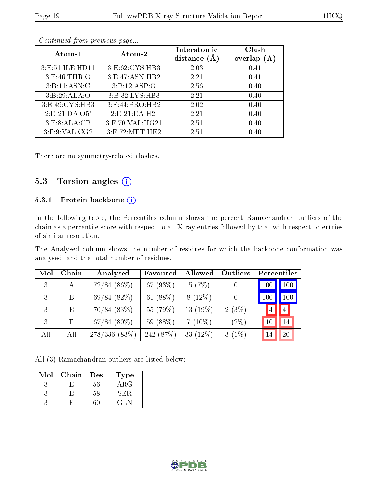| Atom-1              | Atom-2                | Interatomic<br>distance<br>(A) | Clash<br>overlap |
|---------------------|-----------------------|--------------------------------|------------------|
| 3: E: 51: ILE: HD11 | 3:E:62:CYS:HB3        | 2.03                           | 0.41             |
| 3: E:46: THR:O      | 3: E:47: ASN: HB2     | 2.21                           | 0.41             |
| 3:B:11:ASN:C        | 3:B:12:ASP:O          | 2.56                           | 0.40             |
| 3:B:29:ALA:O        | 3:B:32:LYS:HB3        | 2.21                           | 0.40             |
| 3:E:49:CYS:HB3      | 3:F:44:PRO:HB2        | 2.02                           | 0.40             |
| 2:D:21:DA:O5'       | 2:D:21:DA:H2'         | 2.21                           | 0.40             |
| 3: F: 8: ALA: CB    | $3:$ F:70:VAL:H $G21$ | 2.51                           | 0.40             |
| 3:F:9:VAL:CG2       | $3:$ F:72:MET:HE2     | 2.51                           | 0.40             |

There are no symmetry-related clashes.

### 5.3 Torsion angles  $(i)$

#### 5.3.1 Protein backbone (i)

In the following table, the Percentiles column shows the percent Ramachandran outliers of the chain as a percentile score with respect to all X-ray entries followed by that with respect to entries of similar resolution.

The Analysed column shows the number of residues for which the backbone conformation was analysed, and the total number of residues.

| Mol | Chain        | Analysed       | Favoured   | Allowed     | Outliers | Percentiles        |
|-----|--------------|----------------|------------|-------------|----------|--------------------|
| 3   | А            | $72/84~(86\%)$ | 67 (93%)   | 5(7%)       | $\cup$   | 100<br>100         |
| 3   | B            | 69/84(82%)     | 61 (88%)   | $8(12\%)$   | $\theta$ | $\vert$ 100<br>100 |
| 3   | Ε            | $70/84$ (83%)  | 55 (79%)   | 13 $(19\%)$ | $2(3\%)$ | $ 4\rangle$<br>4   |
| 3   | $\mathbb{F}$ | $67/84~(80\%)$ | 59 (88%)   | $7(10\%)$   | $1(2\%)$ | 14<br>10           |
| All | All          | 278/336 (83%)  | 242 (87\%) | 33 $(12\%)$ | $3(1\%)$ | 20<br>14           |

All (3) Ramachandran outliers are listed below:

| Mol | Chain | Res    | Type        |
|-----|-------|--------|-------------|
|     |       | $56\,$ | ${\rm ARG}$ |
|     |       | 58     | SER.        |
|     |       |        | -21 -       |

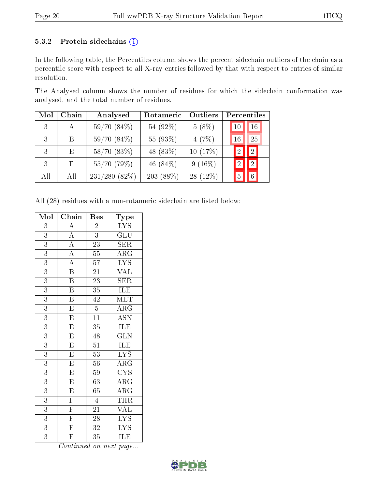#### 5.3.2 Protein sidechains (i)

In the following table, the Percentiles column shows the percent sidechain outliers of the chain as a percentile score with respect to all X-ray entries followed by that with respect to entries of similar resolution.

The Analysed column shows the number of residues for which the sidechain conformation was analysed, and the total number of residues.

| Mol | Chain | Analysed        | Rotameric   | Outliers   | Percentiles                      |
|-----|-------|-----------------|-------------|------------|----------------------------------|
| 3   | А     | $59/70(84\%)$   | 54 (92%)    | $5(8\%)$   | 16<br>$10\,$                     |
| 3   | B     | 59/70(84%)      | 55 (93%)    | 4(7%)      | 25<br>16                         |
| 3   | E     | 58/70(83%)      | 48 (83%)    | 10(17%)    | 2<br>$\mathcal{D}_{\mathcal{A}}$ |
| 3   | F.    | 55/70 (79%)     | 46 $(84\%)$ | $9(16\%)$  | $\overline{2}$<br>$\mathcal{D}$  |
| All | All   | $231/280(82\%)$ | $203(88\%)$ | $28(12\%)$ | 6<br>5                           |

All (28) residues with a non-rotameric sidechain are listed below:

| Mol            | Chain                   | $\operatorname{Res}% \left( \mathcal{N}\right) \equiv\operatorname{Res}(\mathcal{N}_{0})\cap\mathcal{N}_{1}$ | $_{\rm Type}$           |
|----------------|-------------------------|--------------------------------------------------------------------------------------------------------------|-------------------------|
| 3              | $\overline{\rm A}$      | $\overline{2}$                                                                                               | $\overline{\text{LYS}}$ |
| $\overline{3}$ | $\overline{A}$          | $\overline{3}$                                                                                               | GLU                     |
| $\overline{3}$ | $\overline{\rm A}$      | $\overline{23}$                                                                                              | <b>SER</b>              |
| 3              | $\overline{A}$          | $\overline{55}$                                                                                              | $\rm{AR}\bar{\rm{G}}$   |
| $\overline{3}$ | $\overline{A}$          | $\overline{57}$                                                                                              | $\overline{\text{LYS}}$ |
| 3              | $\overline{\mathrm{B}}$ | 21                                                                                                           | <b>VAL</b>              |
| $\overline{3}$ | $\overline{\mathrm{B}}$ | $\overline{23}$                                                                                              | $\overline{\text{SER}}$ |
| $\overline{3}$ | $\, {\bf B}$            | 35                                                                                                           | ILE                     |
| 3              | $\overline{\mathrm{B}}$ | 42                                                                                                           | MET                     |
| $\overline{3}$ | $\overline{E}$          | $\overline{5}$                                                                                               | $\overline{\rm{ARG}}$   |
| $\overline{3}$ | $\overline{\mathrm{E}}$ | $\overline{11}$                                                                                              | $\overline{\text{ASN}}$ |
| $\overline{3}$ | $\overline{E}$          | $\overline{35}$                                                                                              | ILE                     |
| $\overline{3}$ | $\overline{\mathrm{E}}$ | 48                                                                                                           | $\widetilde{{\rm GLN}}$ |
| $\overline{3}$ | $\overline{\mathrm{E}}$ | $\overline{51}$                                                                                              | 1LE                     |
| $\overline{3}$ | $\overline{\mathrm{E}}$ | $\overline{53}$                                                                                              | $\overline{\text{LYS}}$ |
| $\overline{3}$ | $\overline{\mathrm{E}}$ | 56                                                                                                           | $\rm{ARG}$              |
| $\overline{3}$ | $\overline{E}$          | $\overline{59}$                                                                                              | $\overline{\text{CYS}}$ |
| $\overline{3}$ | $\overline{E}$          | 63                                                                                                           | $\overline{\rm{ARG}}$   |
| $\overline{3}$ | $\overline{\mathrm{E}}$ | $\overline{65}$                                                                                              | $\overline{\rm{ARG}}$   |
| $\overline{3}$ | $\overline{F}$          | $\overline{4}$                                                                                               | THR                     |
| $\overline{3}$ | $\overline{\mathrm{F}}$ | $\overline{21}$                                                                                              | $\overline{\text{VAL}}$ |
| $\overline{3}$ | $\overline{\mathrm{F}}$ | $\overline{28}$                                                                                              | $\overline{\text{LYS}}$ |
| $\overline{3}$ | $\overline{F}$          | $\overline{32}$                                                                                              | $\overline{\text{LYS}}$ |
| $\overline{3}$ | $\overline{\mathrm{F}}$ | $\overline{35}$                                                                                              | ILE                     |

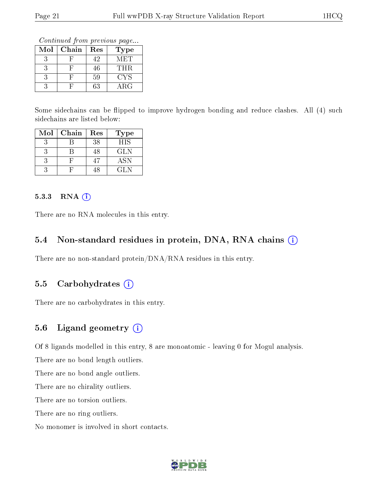Continued from previous page...

| Mol | Chain | Res | Type       |
|-----|-------|-----|------------|
|     |       | 42  | <b>MET</b> |
|     |       | 46  | THR.       |
|     |       | 59  | CYS        |
|     |       | 63  | $\rm{ARG}$ |

Some sidechains can be flipped to improve hydrogen bonding and reduce clashes. All (4) such sidechains are listed below:

| Mol | Chain | Res | <b>Type</b> |
|-----|-------|-----|-------------|
| З   |       | 38  | <b>HIS</b>  |
| 3   | R     | 48  | GLN.        |
| 3   |       | 47  | <b>ASN</b>  |
| 3   |       | 48  | GL N        |

#### 5.3.3 RNA (i)

There are no RNA molecules in this entry.

#### 5.4 Non-standard residues in protein, DNA, RNA chains  $(i)$

There are no non-standard protein/DNA/RNA residues in this entry.

### 5.5 Carbohydrates  $(i)$

There are no carbohydrates in this entry.

### 5.6 Ligand geometry (i)

Of 8 ligands modelled in this entry, 8 are monoatomic - leaving 0 for Mogul analysis.

There are no bond length outliers.

There are no bond angle outliers.

There are no chirality outliers.

There are no torsion outliers.

There are no ring outliers.

No monomer is involved in short contacts.

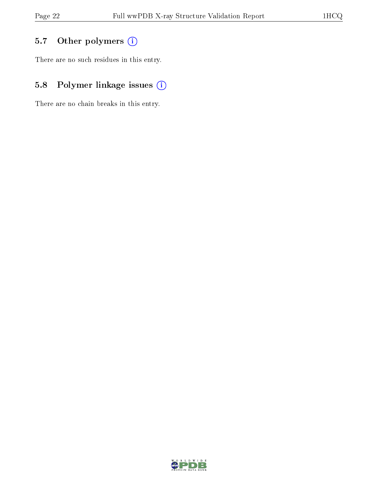# 5.7 [O](https://www.wwpdb.org/validation/2017/XrayValidationReportHelp#nonstandard_residues_and_ligands)ther polymers (i)

There are no such residues in this entry.

# 5.8 Polymer linkage issues (i)

There are no chain breaks in this entry.